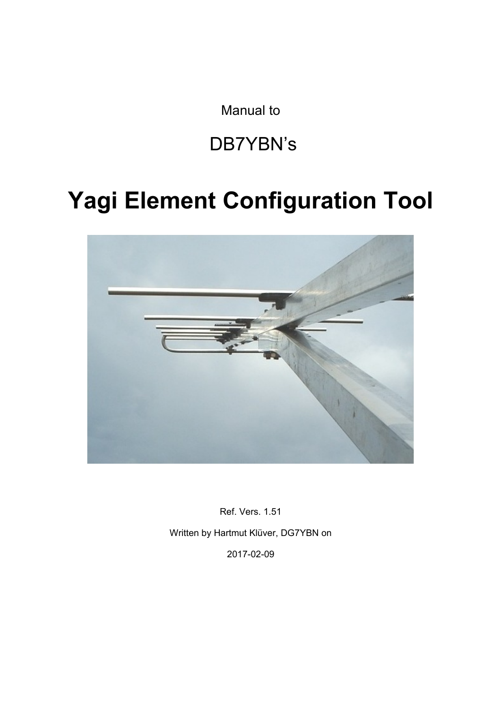Manual to

# DB7YBN's

# **Yagi Element Configuration Tool**



Ref. Vers. 1.51 Written by Hartmut Klüver, DG7YBN on 2017-02-09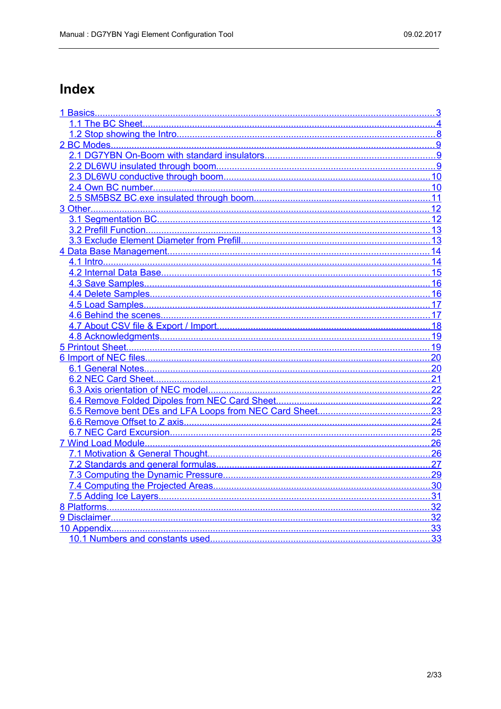# Index

| 1 Basics | 3 |
|----------|---|
|          |   |
|          |   |
|          |   |
|          |   |
|          |   |
|          |   |
|          |   |
|          |   |
|          |   |
|          |   |
|          |   |
|          |   |
|          |   |
|          |   |
|          |   |
|          |   |
|          |   |
|          |   |
|          |   |
|          |   |
|          |   |
|          |   |
|          |   |
|          |   |
|          |   |
|          |   |
|          |   |
|          |   |
|          |   |
|          |   |
|          |   |
|          |   |
|          |   |
|          |   |
|          |   |
|          |   |
|          |   |
|          |   |
|          |   |
| 33       |   |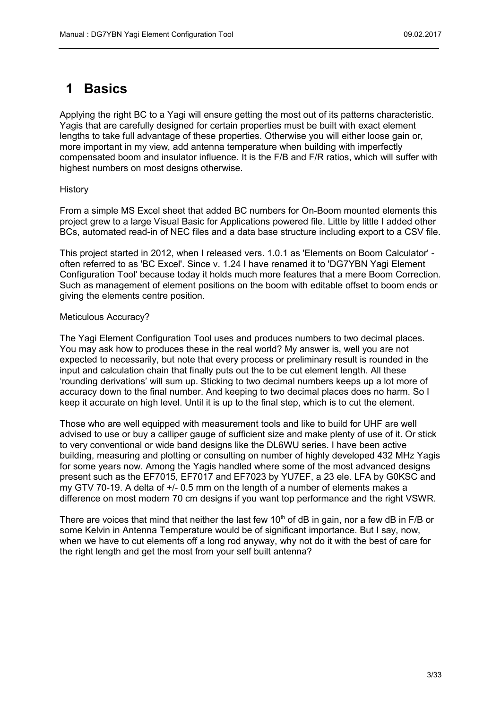# <span id="page-2-0"></span>**1 Basics**

Applying the right BC to a Yagi will ensure getting the most out of its patterns characteristic. Yagis that are carefully designed for certain properties must be built with exact element lengths to take full advantage of these properties. Otherwise you will either loose gain or, more important in my view, add antenna temperature when building with imperfectly compensated boom and insulator influence. It is the F/B and F/R ratios, which will suffer with highest numbers on most designs otherwise.

#### History

From a simple MS Excel sheet that added BC numbers for On-Boom mounted elements this project grew to a large Visual Basic for Applications powered file. Little by little I added other BCs, automated read-in of NEC files and a data base structure including export to a CSV file.

This project started in 2012, when I released vers. 1.0.1 as 'Elements on Boom Calculator' often referred to as 'BC Excel'. Since v. 1.24 I have renamed it to 'DG7YBN Yagi Element Configuration Tool' because today it holds much more features that a mere Boom Correction. Such as management of element positions on the boom with editable offset to boom ends or giving the elements centre position.

#### Meticulous Accuracy?

The Yagi Element Configuration Tool uses and produces numbers to two decimal places. You may ask how to produces these in the real world? My answer is, well you are not expected to necessarily, but note that every process or preliminary result is rounded in the input and calculation chain that finally puts out the to be cut element length. All these 'rounding derivations' will sum up. Sticking to two decimal numbers keeps up a lot more of accuracy down to the final number. And keeping to two decimal places does no harm. So I keep it accurate on high level. Until it is up to the final step, which is to cut the element.

Those who are well equipped with measurement tools and like to build for UHF are well advised to use or buy a calliper gauge of sufficient size and make plenty of use of it. Or stick to very conventional or wide band designs like the DL6WU series. I have been active building, measuring and plotting or consulting on number of highly developed 432 MHz Yagis for some years now. Among the Yagis handled where some of the most advanced designs present such as the EF7015, EF7017 and EF7023 by YU7EF, a 23 ele. LFA by G0KSC and my GTV 70-19. A delta of +/- 0.5 mm on the length of a number of elements makes a difference on most modern 70 cm designs if you want top performance and the right VSWR.

There are voices that mind that neither the last few 10<sup>th</sup> of dB in gain, nor a few dB in  $F/B$  or some Kelvin in Antenna Temperature would be of significant importance. But I say, now, when we have to cut elements off a long rod anyway, why not do it with the best of care for the right length and get the most from your self built antenna?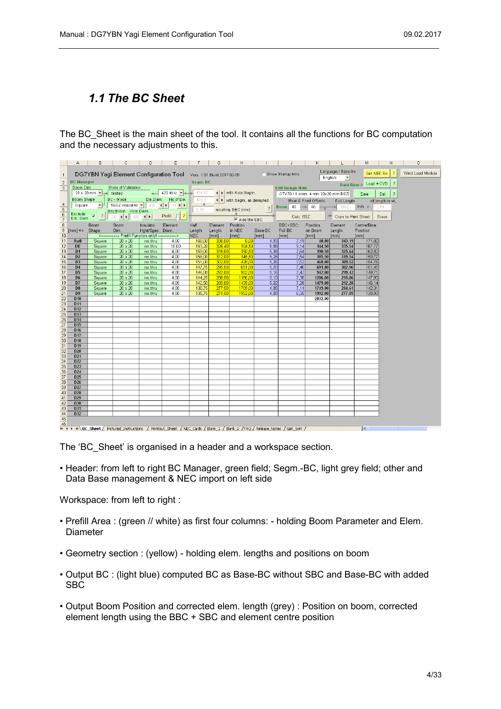## <span id="page-3-0"></span>*1.1 The BC Sheet*

The BC Sheet is the main sheet of the tool. It contains all the functions for BC computation and the necessary adjustments to this.

|                                    | A                                  | B                               | C                                                                 | D                    | Ε                                                                  | F                | G                | H                                      |              | J                                                                                                                               | K                    |                                | M                   | N                      | O                |
|------------------------------------|------------------------------------|---------------------------------|-------------------------------------------------------------------|----------------------|--------------------------------------------------------------------|------------------|------------------|----------------------------------------|--------------|---------------------------------------------------------------------------------------------------------------------------------|----------------------|--------------------------------|---------------------|------------------------|------------------|
| $\overline{1}$                     |                                    |                                 |                                                                   |                      | DG7YBN Yagi Element Configuration Tool Vers. 1.51 Build 2017-02-09 |                  |                  |                                        |              | □ Show Startup Intro                                                                                                            |                      | Language / Sprache             | Get NEC file        | $\overline{?}$         | Wind Load Module |
| $\overline{2}$                     | <b>BC</b> Manager                  |                                 |                                                                   |                      |                                                                    | Segm. BC         |                  |                                        |              |                                                                                                                                 |                      | English<br>$\vert \cdot \vert$ | Load + CVS          | $\overline{?}$         |                  |
| 3                                  | Boom Dim.                          |                                 | State of Validation                                               |                      |                                                                    |                  |                  |                                        |              | <b>Edit Design Note</b>                                                                                                         |                      | Data Base >                    |                     |                        |                  |
|                                    |                                    | $20 \times 20$ mm $\rightarrow$ | tested                                                            |                      | $\leftarrow$ 432 MHz                                               | 434,67           |                  | ◀ ▶ with Auto Segm.                    |              | GTV 70-11 elem. 4 mm 20x20 mm BSZi                                                                                              |                      |                                | Save                | $\overline{?}$<br>Del. |                  |
|                                    | <b>Boom Shape</b>                  |                                 | BC - Mode                                                         |                      | Ele.Diam. No.of Ele.                                               | 432,2            |                  | I vith Segm. as designed               |              |                                                                                                                                 | Rear & Front Offsets | Full Length                    |                     | eff.length in wL       |                  |
| $\overline{4}$                     | Square                             |                                 | $\mathbf{F}$   5BSZ insulated $\mathbf{F}$   4,0   4   11   4   1 |                      |                                                                    |                  |                  |                                        |              | $\text{Boom}$ 40                                                                                                                | $\rightarrow$ 40     | $\blacktriangleright$ 2032     | $mm =$              | 2,83                   |                  |
| $\sqrt{5}$                         | Exclude                            |                                 | Bm.thickn. Hole Diam.                                             |                      |                                                                    | 2,26             |                  | resulting SBC [mm]                     | 2            |                                                                                                                                 |                      |                                |                     |                        |                  |
| 6<br>$\overline{7}$                | Ele. Diam.                         |                                 | $2,0$ 4 $\triangleright$ 6,0 4 $\triangleright$                   |                      | Prefill $\Box$<br>$\overline{?}$                                   |                  |                  | $\overline{\triangledown}$ Add the SBC |              | Calc. BSZ                                                                                                                       |                      | Copy to Print Sheet            |                     | Erase                  |                  |
| $\overline{8}$                     |                                    | Boom                            | Boom                                                              | Insulator            | Element                                                            | Half             | Element          | Position                               |              | BBC+SBC:                                                                                                                        | Position             | Element                        | Centre/Bore         |                        |                  |
| 9                                  | $ mm $ =>                          | Shape                           | Dim.                                                              | Hght/Spec. Diam.     |                                                                    | Length           | Length           | in NEC                                 | Base-BC      | Full BC                                                                                                                         | on Boom              | Length                         | Position            |                        |                  |
| 10                                 |                                    |                                 | <---------------- Prefill Function only! -------------->          |                      |                                                                    | NEC.             | [mm]             | [mm]                                   | [mm]         | [mm]                                                                                                                            | [mm]                 | [mm]                           | [mm]                |                        |                  |
| 11                                 | Refl                               | Square                          | $20 \times 20$                                                    | ins.thru             | 4,00                                                               | 168,00           | 336,00           | 0.00                                   | 4,93         | 7,19                                                                                                                            | 40,00                | 343,19                         | 171,60              |                        |                  |
| 12<br>13                           | <b>DE</b><br>D <sub>1</sub>        | Square<br>Square                | 20 x 20<br>$20 \times 20$                                         | ins.thru<br>ins.thru | 10,00<br>4,00                                                      | 163,20<br>159,00 | 326,40<br>318,00 | 104.50<br>150,50                       | 6,88<br>5,38 | 9,14<br>7,64                                                                                                                    | 144,50<br>190,50     | 335,54<br>325,64               | 167,77<br>162,82    |                        |                  |
| 14                                 | D <sub>2</sub>                     | Square                          | $20 \times 20$                                                    | ins.thru             | 4,00                                                               | 156,00           | 312,00           | 145,50                                 | 5,28         | 7.54                                                                                                                            | 185,50               | 319,54                         | 159,77              |                        |                  |
| 15                                 | D <sub>3</sub>                     | Square                          | 20 x 20                                                           | ins.thru             | 4,00                                                               | 151,00           | 302,00           | 428,00                                 | 5,26         | 7,52                                                                                                                            | 468,00               | 309,52                         | 154,76              |                        |                  |
| 16                                 | D <sub>4</sub>                     | Square                          | $20 \times 20$                                                    | ins.thru             | 4,00                                                               | 147.75           | 295.50           | 651.00                                 | 5,20         | 7.46                                                                                                                            | 691.00               | 302.96                         | 151,48              |                        |                  |
| 17                                 | D <sub>5</sub>                     | Square                          | 20 x 20                                                           | ins.thru             | 4,00                                                               | 146,00           | 292,00           | 902,00                                 | 5,16         | 7,42                                                                                                                            | 942,00               | 299,42                         | 149,71              |                        |                  |
| 18                                 | D <sub>6</sub>                     | Square                          | $20 \times 20$                                                    | ins.thru             | 4,00                                                               | 144,25           | 288,50           | 1166,00                                | 5,10         | 7,36                                                                                                                            | 1206,00              | 295,86                         | 147,93              |                        |                  |
| 19                                 | D7                                 | Square                          | $20 \times 20$                                                    | ins.thru             | 4,00                                                               | 142,50           | 285,00           | 1439,00                                | 5,02         | 7,28                                                                                                                            | 1479.00              | 292.28                         | 146,14              |                        |                  |
| $\overline{20}$<br>$\overline{21}$ | D <sub>8</sub><br>D <sub>9</sub>   | Square<br>Square                | $20 \times 20$<br>$20 \times 20$                                  | ins.thru<br>ins.thru | 4,00<br>4,00                                                       | 138,75<br>135,75 | 277,50<br>271,50 | 1709,00<br>1952,00                     | 4,85<br>4.09 | 7,11<br>6.35                                                                                                                    | 1749,00<br>1992,00   | 284,61<br>277,85               | 142,31<br>138,93    |                        |                  |
| 22                                 | D10                                |                                 |                                                                   |                      |                                                                    |                  |                  |                                        |              |                                                                                                                                 | 2032,00              |                                |                     |                        |                  |
| $\overline{23}$                    | D <sub>11</sub>                    |                                 |                                                                   |                      |                                                                    |                  |                  |                                        |              |                                                                                                                                 |                      |                                |                     |                        |                  |
| $\overline{24}$                    | D <sub>12</sub>                    |                                 |                                                                   |                      |                                                                    |                  |                  |                                        |              |                                                                                                                                 |                      |                                |                     |                        |                  |
| 25                                 | D <sub>13</sub>                    |                                 |                                                                   |                      |                                                                    |                  |                  |                                        |              |                                                                                                                                 |                      |                                |                     |                        |                  |
| $\overline{26}$                    | D <sub>14</sub>                    |                                 |                                                                   |                      |                                                                    |                  |                  |                                        |              |                                                                                                                                 |                      |                                |                     |                        |                  |
| 27<br>$\overline{28}$              | D <sub>15</sub><br>D <sub>16</sub> |                                 |                                                                   |                      |                                                                    |                  |                  |                                        |              |                                                                                                                                 |                      |                                |                     |                        |                  |
| 29                                 | <b>D17</b>                         |                                 |                                                                   |                      |                                                                    |                  |                  |                                        |              |                                                                                                                                 |                      |                                |                     |                        |                  |
| 30                                 | D <sub>18</sub>                    |                                 |                                                                   |                      |                                                                    |                  |                  |                                        |              |                                                                                                                                 |                      |                                |                     |                        |                  |
| 31                                 | D <sub>19</sub>                    |                                 |                                                                   |                      |                                                                    |                  |                  |                                        |              |                                                                                                                                 |                      |                                |                     |                        |                  |
| 32                                 | <b>D20</b>                         |                                 |                                                                   |                      |                                                                    |                  |                  |                                        |              |                                                                                                                                 |                      |                                |                     |                        |                  |
| 33                                 | D <sub>21</sub>                    |                                 |                                                                   |                      |                                                                    |                  |                  |                                        |              |                                                                                                                                 |                      |                                |                     |                        |                  |
| 34<br>35                           | <b>D22</b><br><b>D23</b>           |                                 |                                                                   |                      |                                                                    |                  |                  |                                        |              |                                                                                                                                 |                      |                                |                     |                        |                  |
| $\overline{36}$                    | D <sub>24</sub>                    |                                 |                                                                   |                      |                                                                    |                  |                  |                                        |              |                                                                                                                                 |                      |                                |                     |                        |                  |
| 37                                 | D <sub>25</sub>                    |                                 |                                                                   |                      |                                                                    |                  |                  |                                        |              |                                                                                                                                 |                      |                                |                     |                        |                  |
| $\overline{38}$                    | <b>D26</b>                         |                                 |                                                                   |                      |                                                                    |                  |                  |                                        |              |                                                                                                                                 |                      |                                |                     |                        |                  |
| 39                                 | <b>D27</b>                         |                                 |                                                                   |                      |                                                                    |                  |                  |                                        |              |                                                                                                                                 |                      |                                |                     |                        |                  |
| 40                                 | D <sub>28</sub>                    |                                 |                                                                   |                      |                                                                    |                  |                  |                                        |              |                                                                                                                                 |                      |                                |                     |                        |                  |
| 41                                 | D <sub>29</sub>                    |                                 |                                                                   |                      |                                                                    |                  |                  |                                        |              |                                                                                                                                 |                      |                                |                     |                        |                  |
| 42<br>43                           | <b>D30</b><br><b>D31</b>           |                                 |                                                                   |                      |                                                                    |                  |                  |                                        |              |                                                                                                                                 |                      |                                |                     |                        |                  |
| 44                                 | <b>D32</b>                         |                                 |                                                                   |                      |                                                                    |                  |                  |                                        |              |                                                                                                                                 |                      |                                |                     |                        |                  |
| 45                                 |                                    |                                 |                                                                   |                      |                                                                    |                  |                  |                                        |              |                                                                                                                                 |                      |                                |                     |                        |                  |
| 46                                 |                                    |                                 |                                                                   |                      |                                                                    |                  |                  |                                        |              |                                                                                                                                 |                      |                                |                     |                        |                  |
|                                    |                                    |                                 |                                                                   |                      |                                                                    |                  |                  |                                        |              | It (+ + + N BC Sheet / Pictured Instructions / Printout Sheet / NEC Cards / Blank 1 / Blank 2 / FAO / Release Notes / Get Sym / |                      |                                | $\vert \cdot \vert$ |                        |                  |

The 'BC\_Sheet' is organised in a header and a workspace section.

• Header: from left to right BC Manager, green field; Segm.-BC, light grey field; other and Data Base management & NEC import on left side

Workspace: from left to right :

- Prefill Area : (green // white) as first four columns: holding Boom Parameter and Elem. Diameter
- Geometry section : (yellow) holding elem. lengths and positions on boom
- Output BC : (light blue) computed BC as Base-BC without SBC and Base-BC with added SBC
- Output Boom Position and corrected elem. length (grey) : Position on boom, corrected element length using the BBC + SBC and element centre position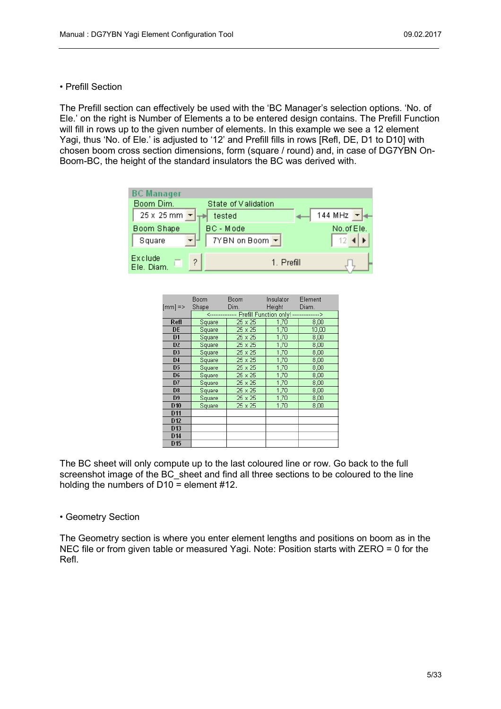• Prefill Section

The Prefill section can effectively be used with the 'BC Manager's selection options. 'No. of Ele.' on the right is Number of Elements a to be entered design contains. The Prefill Function will fill in rows up to the given number of elements. In this example we see a 12 element Yagi, thus 'No. of Ele.' is adjusted to '12' and Prefill fills in rows [Refl, DE, D1 to D10] with chosen boom cross section dimensions, form (square / round) and, in case of DG7YBN On-Boom-BC, the height of the standard insulators the BC was derived with.

| <b>BC Manager</b>               |                                    |            |
|---------------------------------|------------------------------------|------------|
| Boom Dim.                       | State of Validation                |            |
| $25 \times 25$ mm $\rightarrow$ | tested                             | 144 MHz    |
| Boom Shape                      | BC - Mode                          | No.of Ele. |
| Square                          | 7YBN on Boom $\blacktriangleright$ |            |
| Exclude<br>Ele. Diam.           | 1. Prefill                         |            |

|                    | Boom   | Boom                                                      | Insulator     | Element |
|--------------------|--------|-----------------------------------------------------------|---------------|---------|
| $[mm] \Rightarrow$ | Shape  | Dim.                                                      | <b>Height</b> | Diam.   |
|                    |        | <---------------- Prefill Function only! ---------------> |               |         |
| Refl               | Square | 25 x 25                                                   | 1,70          | 8,00    |
| DE                 | Square | 25 x 25                                                   | 1,70          | 10,00   |
| D <sub>1</sub>     | Square | 25 x 25                                                   | 1,70          | 8,00    |
| D <sub>2</sub>     | Square | 25 x 25                                                   | 1,70          | 8,00    |
| D <sub>3</sub>     | Square | 25 x 25                                                   | 1,70          | 8,00    |
| D <sub>4</sub>     | Square | 25 x 25                                                   | 1,70          | 8,00    |
| D <sub>5</sub>     | Square | 25 x 25                                                   | 1,70          | 8,00    |
| D <sub>6</sub>     | Square | 25 x 25                                                   | 1,70          | 8,00    |
| D7                 | Square | 25 x 25                                                   | 1,70          | 8,00    |
| D <sub>8</sub>     | Square | 25 x 25                                                   | 1,70          | 8,00    |
| D <sub>9</sub>     | Square | 25 x 25                                                   | 1,70          | 8,00    |
| D <sub>10</sub>    | Square | 25 x 25                                                   | 1,70          | 8,00    |
| D <sub>11</sub>    |        |                                                           |               |         |
| D <sub>12</sub>    |        |                                                           |               |         |
| D <sub>13</sub>    |        |                                                           |               |         |
| D <sub>14</sub>    |        |                                                           |               |         |
| D <sub>15</sub>    |        |                                                           |               |         |

The BC sheet will only compute up to the last coloured line or row. Go back to the full screenshot image of the BC sheet and find all three sections to be coloured to the line holding the numbers of D10 = element #12.

• Geometry Section

The Geometry section is where you enter element lengths and positions on boom as in the NEC file or from given table or measured Yagi. Note: Position starts with ZERO = 0 for the Refl.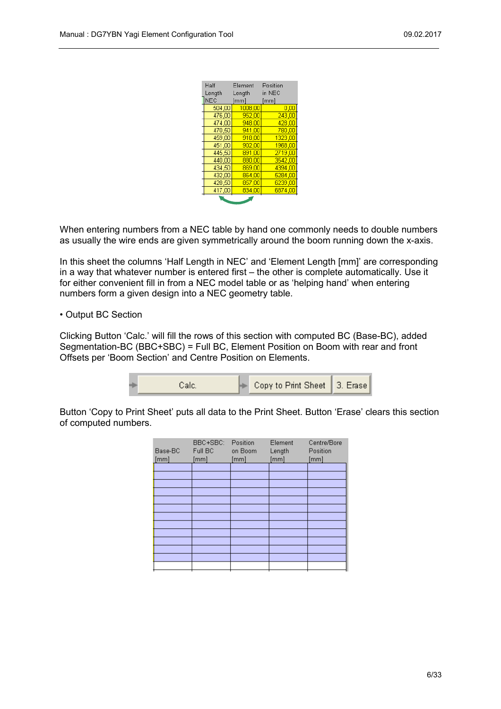| Half<br>Length<br><b>NEC</b> | Element<br>Length<br>mm | Position<br>in NEC<br>[mm] |
|------------------------------|-------------------------|----------------------------|
| 504.00                       | 1008,00                 | 0.00                       |
|                              |                         |                            |
| 476,00                       | 952.00                  | 243,00                     |
| 474.00                       | 948.00                  | 428.00                     |
| 470.50                       | 941,00                  | 780,00                     |
| 459.00                       | 918,00                  | 1323,00                    |
| 451.00                       | 902,00                  | 1968,00                    |
| 445,50                       | 891.00                  | 2719,00                    |
| 440.00                       | 880.00                  | 3542.00                    |
| 434,50                       | 869,00                  | 4394.00                    |
| 432.00                       | 864.00                  | 5284.00                    |
| 428.50                       | 857,00                  | 6239.00                    |
| 417,00                       | 834,00                  | 6874,00                    |
|                              |                         |                            |

When entering numbers from a NEC table by hand one commonly needs to double numbers as usually the wire ends are given symmetrically around the boom running down the x-axis.

In this sheet the columns 'Half Length in NEC' and 'Element Length [mm]' are corresponding in a way that whatever number is entered first – the other is complete automatically. Use it for either convenient fill in from a NEC model table or as 'helping hand' when entering numbers form a given design into a NEC geometry table.

#### • Output BC Section

Clicking Button 'Calc.' will fill the rows of this section with computed BC (Base-BC), added Segmentation-BC (BBC+SBC) = Full BC, Element Position on Boom with rear and front Offsets per 'Boom Section' and Centre Position on Elements.

| Copy to Print Sheet   3. Erase |
|--------------------------------|
|--------------------------------|

Button 'Copy to Print Sheet' puts all data to the Print Sheet. Button 'Erase' clears this section of computed numbers.

| Base-BC<br>[mm] | BBC+SBC:<br>Full BC<br>[mm] | Position<br>on Boom<br>[mm] | Element<br>Length<br>[mm] | Centre/Bore<br>Position<br>[mm] |
|-----------------|-----------------------------|-----------------------------|---------------------------|---------------------------------|
|                 |                             |                             |                           |                                 |
|                 |                             |                             |                           |                                 |
|                 |                             |                             |                           |                                 |
|                 |                             |                             |                           |                                 |
|                 |                             |                             |                           |                                 |
|                 |                             |                             |                           |                                 |
|                 |                             |                             |                           |                                 |
|                 |                             |                             |                           |                                 |
|                 |                             |                             |                           |                                 |
|                 |                             |                             |                           |                                 |
|                 |                             |                             |                           |                                 |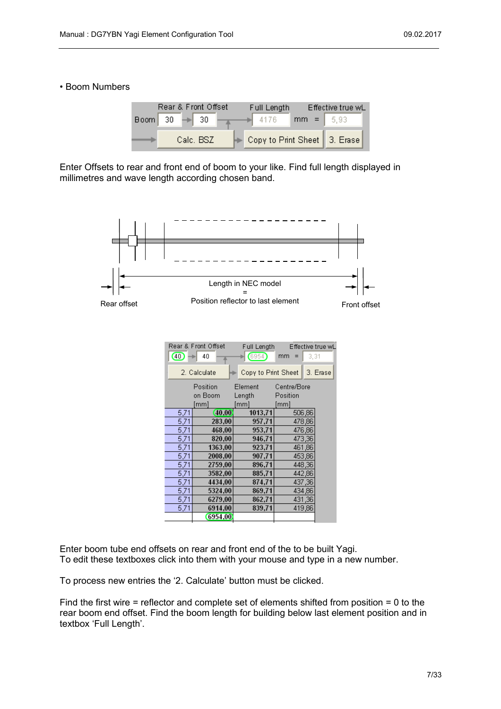#### • Boom Numbers

|                  | Rear & Front Offset | Full Length                    |             | Effective true wL |
|------------------|---------------------|--------------------------------|-------------|-------------------|
| $\text{Boom}$ 30 | $\Rightarrow$ 30    | 4176                           | $mm = 6.93$ |                   |
|                  | Calc. BSZ           | Copy to Print Sheet   3. Erase |             |                   |

Enter Offsets to rear and front end of boom to your like. Find full length displayed in millimetres and wave length according chosen band.



| ⋒    | Rear & Front Offset<br>40 | Full Length<br>(6954) | Effective true w<br>3,31<br>mm |          |
|------|---------------------------|-----------------------|--------------------------------|----------|
|      | 2. Calculate              | Copy to Print Sheet   |                                | 3. Erase |
|      | Position                  | Element               | Centre/Bore                    |          |
|      | on Boom                   | Length                | Position                       |          |
|      | [mm]                      | ˈmm]                  | [mm]                           |          |
| 5,71 | [40.00]                   | 1013,71               | 506,86                         |          |
| 5,71 | 283.00                    | 957.71                | 478,86                         |          |
| 5.71 | 468,00                    | 953,71                | 476,86                         |          |
| 5,71 | 820,00                    | 946,71                | 473,36                         |          |
| 5,71 | 1363,00                   | 923,71                | 461,86                         |          |
| 5,71 | 2008.00                   | 907,71                | 453,86                         |          |
| 5,71 | 2759,00                   | 896,71                | 448,36                         |          |
| 5,71 | 3582.00                   | 885,71                | 442,86                         |          |
| 5,71 | 4434,00                   | 874,71                | 437,36                         |          |
| 5,71 | 5324,00                   | 869.71                | 434,86                         |          |
| 5,71 | 6279,00                   | 862,71                | 431,36                         |          |
| 5.71 | 6914.00                   | 839,71                | 419,86                         |          |
|      | 6954,00                   |                       |                                |          |

Enter boom tube end offsets on rear and front end of the to be built Yagi. To edit these textboxes click into them with your mouse and type in a new number.

To process new entries the '2. Calculate' button must be clicked.

Find the first wire = reflector and complete set of elements shifted from position = 0 to the rear boom end offset. Find the boom length for building below last element position and in textbox 'Full Length'.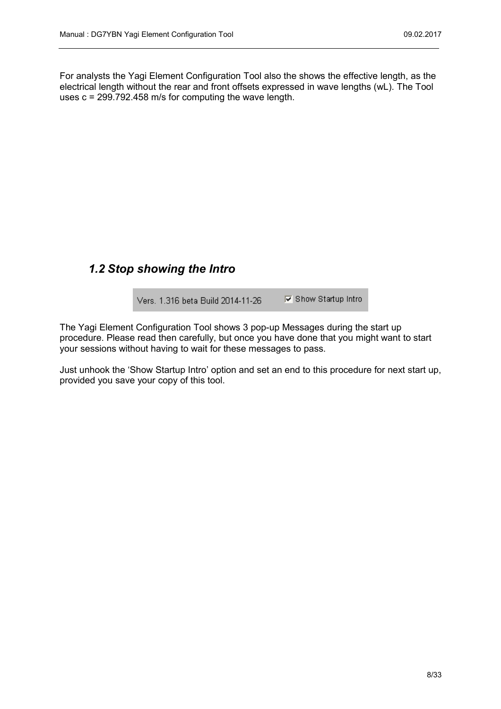For analysts the Yagi Element Configuration Tool also the shows the effective length, as the electrical length without the rear and front offsets expressed in wave lengths (wL). The Tool uses c = 299.792.458 m/s for computing the wave length.

#### <span id="page-7-0"></span>*1.2 Stop showing the Intro*

**▽** Show Startup Intro Vers. 1.316 beta Build 2014-11-26

The Yagi Element Configuration Tool shows 3 pop-up Messages during the start up procedure. Please read then carefully, but once you have done that you might want to start your sessions without having to wait for these messages to pass.

Just unhook the 'Show Startup Intro' option and set an end to this procedure for next start up, provided you save your copy of this tool.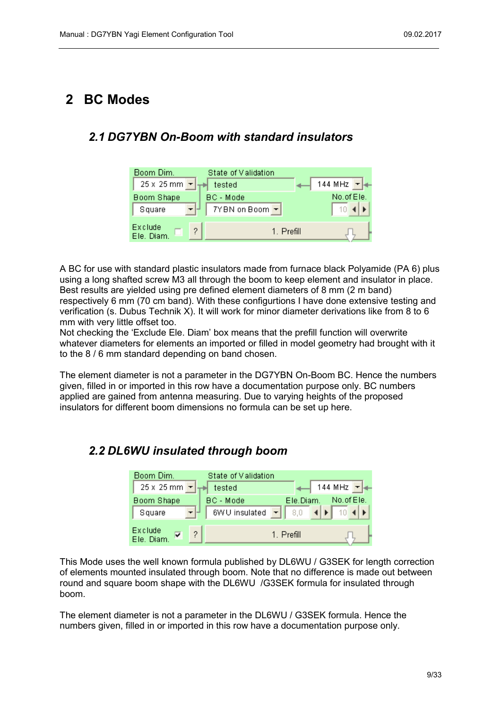# <span id="page-8-2"></span>**2 BC Modes**

#### <span id="page-8-1"></span>*2.1 DG7YBN On-Boom with standard insulators*

| Boom Dim.                       | State of Validation          |                       |
|---------------------------------|------------------------------|-----------------------|
| $25 \times 25$ mm $\rightarrow$ | tested                       | 144 MHz $\rightarrow$ |
| Boom Shape                      | <b>BC</b> - Mode             | No. of Ele.           |
| Square                          | $7YBN$ on Boom $\rightarrow$ |                       |
|                                 |                              |                       |
| Exclude<br>Ele. Diam.           | 1. Prefill                   |                       |

A BC for use with standard plastic insulators made from furnace black Polyamide (PA 6) plus using a long shafted screw M3 all through the boom to keep element and insulator in place. Best results are yielded using pre defined element diameters of 8 mm (2 m band) respectively 6 mm (70 cm band). With these configurtions I have done extensive testing and verification (s. Dubus Technik X). It will work for minor diameter derivations like from 8 to 6 mm with very little offset too.

Not checking the 'Exclude Ele. Diam' box means that the prefill function will overwrite whatever diameters for elements an imported or filled in model geometry had brought with it to the 8 / 6 mm standard depending on band chosen.

The element diameter is not a parameter in the DG7YBN On-Boom BC. Hence the numbers given, filled in or imported in this row have a documentation purpose only. BC numbers applied are gained from antenna measuring. Due to varying heights of the proposed insulators for different boom dimensions no formula can be set up here.

## <span id="page-8-0"></span>*2.2 DL6WU insulated through boom*

| Boom Dim.                                      | State of Validation |            |                       |
|------------------------------------------------|---------------------|------------|-----------------------|
| $25 \times 25$ mm $\left  \frac{1}{1} \right $ | tested              |            | 144 MHz $\rightarrow$ |
| Boom Shape                                     | <b>BC</b> - Mode    | Ele.Diam.  | No.of Ele.            |
| Square                                         | 6WU insulated       |            |                       |
| Exclude<br>2<br>Ele. Diam.                     |                     | 1. Prefill |                       |

This Mode uses the well known formula published by DL6WU / G3SEK for length correction of elements mounted insulated through boom. Note that no difference is made out between round and square boom shape with the DL6WU /G3SEK formula for insulated through boom.

The element diameter is not a parameter in the DL6WU / G3SEK formula. Hence the numbers given, filled in or imported in this row have a documentation purpose only.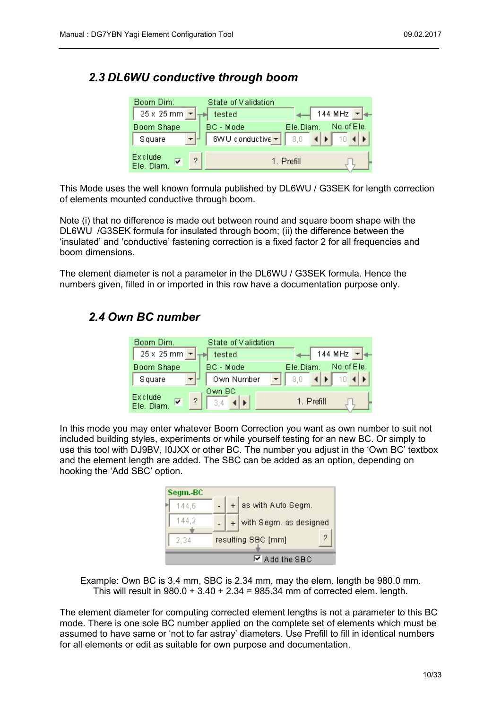## <span id="page-9-1"></span>*2.3 DL6WU conductive through boom*

| Boom Dim.                       | State of Validation         |           |                       |
|---------------------------------|-----------------------------|-----------|-----------------------|
| $25 \times 25$ mm $\rightarrow$ | tested                      |           | 144 MHz $\rightarrow$ |
| Boom Shape                      | BC - Mode                   | Ele Diam. | No. of Ele.           |
| $-1$<br>Square                  | 6WU conductive $\mathbf{v}$ |           |                       |
| Exclude                         |                             |           |                       |
| 2<br>Ele, Diam.                 | 1. Prefill                  |           |                       |

This Mode uses the well known formula published by DL6WU / G3SEK for length correction of elements mounted conductive through boom.

Note (i) that no difference is made out between round and square boom shape with the DL6WU /G3SEK formula for insulated through boom; (ii) the difference between the 'insulated' and 'conductive' fastening correction is a fixed factor 2 for all frequencies and boom dimensions.

The element diameter is not a parameter in the DL6WU / G3SEK formula. Hence the numbers given, filled in or imported in this row have a documentation purpose only.

#### <span id="page-9-0"></span>*2.4 Own BC number*

| Boom Dim.                       | State of Validation |                         |
|---------------------------------|---------------------|-------------------------|
| $25 \times 25$ mm $\rightarrow$ | tested              | 144 MHz $\rightarrow$   |
| Boom Shape                      | BC - Mode           | No.of Ele.<br>Ele.Diam. |
| Square                          | Own Number          |                         |
| Exclude<br>2<br>Ele. Diam       | Own BC              | 1. Prefill              |

In this mode you may enter whatever Boom Correction you want as own number to suit not included building styles, experiments or while yourself testing for an new BC. Or simply to use this tool with DJ9BV, I0JXX or other BC. The number you adjust in the 'Own BC' textbox and the element length are added. The SBC can be added as an option, depending on hooking the 'Add SBC' option.

| Segm.-BC |  |                                        |   |
|----------|--|----------------------------------------|---|
| 144,6    |  | $+$ as with Auto Segm.                 |   |
| 144.2    |  | with Segm. as designed                 |   |
| 2.34     |  | resulting SBC [mm]                     | 2 |
|          |  | $\overline{\triangledown}$ Add the SBC |   |

Example: Own BC is 3.4 mm, SBC is 2.34 mm, may the elem. length be 980.0 mm. This will result in  $980.0 + 3.40 + 2.34 = 985.34$  mm of corrected elem. length.

The element diameter for computing corrected element lengths is not a parameter to this BC mode. There is one sole BC number applied on the complete set of elements which must be assumed to have same or 'not to far astray' diameters. Use Prefill to fill in identical numbers for all elements or edit as suitable for own purpose and documentation.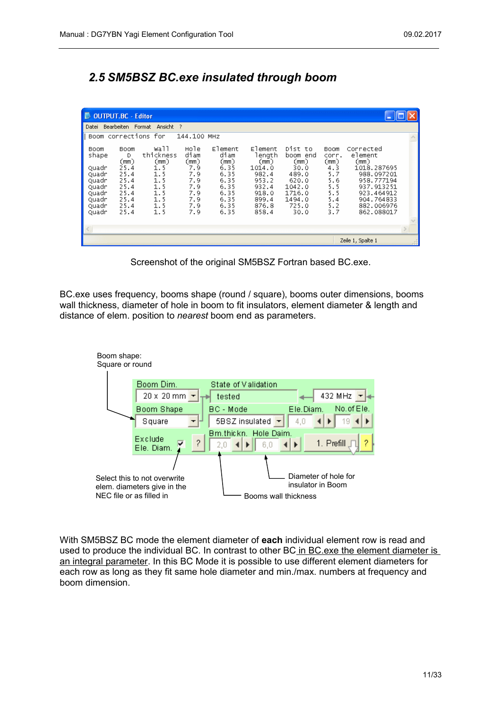# <span id="page-10-0"></span>*2.5 SM5BSZ BC.exe insulated through boom*

| OUTPUT.BC - Editor                                                                           |                                                                                          |                                                                                   |                                                                              |                                                                                         |                                                                                                    |                                                                                                      |                                                                               |                                                                                                                                               |  |
|----------------------------------------------------------------------------------------------|------------------------------------------------------------------------------------------|-----------------------------------------------------------------------------------|------------------------------------------------------------------------------|-----------------------------------------------------------------------------------------|----------------------------------------------------------------------------------------------------|------------------------------------------------------------------------------------------------------|-------------------------------------------------------------------------------|-----------------------------------------------------------------------------------------------------------------------------------------------|--|
| Datei                                                                                        |                                                                                          | Bearbeiten Format Ansicht ?                                                       |                                                                              |                                                                                         |                                                                                                    |                                                                                                      |                                                                               |                                                                                                                                               |  |
|                                                                                              |                                                                                          | Boom corrections for                                                              | 144.100 MHZ                                                                  |                                                                                         |                                                                                                    |                                                                                                      |                                                                               |                                                                                                                                               |  |
| <b>Boom</b><br>shape<br>Ouadr<br>Quadr<br>Quadr<br>Quadr<br>Quadr<br>Quadr<br>Quadr<br>Quadr | <b>Boom</b><br>D<br>(mm)<br>25.4<br>25.4<br>25.4<br>25.4<br>25.4<br>25.4<br>25.4<br>25.4 | wall<br>thickness<br>(mm)<br>1.5<br>1.5<br>1.5<br>1.5<br>1.5<br>1.5<br>1.5<br>1.5 | Hole<br>diam<br>(mm)<br>7.9<br>7.9<br>7.9<br>7.9<br>7.9<br>7.9<br>7.9<br>7.9 | Element<br>diam<br>(mm)<br>6.35<br>6.35<br>6.35<br>6.35<br>6.35<br>6.35<br>6.35<br>6.35 | Element<br>length<br>(mm)<br>1014.0<br>982.4<br>953.2<br>932.4<br>918.0<br>899.4<br>876.8<br>858.4 | Dist to<br>boom end<br>(mm)<br>30.0<br>489.0<br>620.0<br>1042.0<br>1716.0<br>1494.0<br>725.0<br>30.0 | Boom<br>corr.<br>(mm)<br>4.3<br>5.7<br>5.6<br>5.5<br>5.5<br>5.4<br>5.2<br>3.7 | Connected<br>element<br>(mm)<br>1018.287695<br>988.097201<br>958.777194<br>937.913251<br>923.464912<br>904.764833<br>882.006976<br>862.088017 |  |
|                                                                                              |                                                                                          |                                                                                   |                                                                              |                                                                                         |                                                                                                    |                                                                                                      |                                                                               |                                                                                                                                               |  |
|                                                                                              |                                                                                          |                                                                                   |                                                                              |                                                                                         |                                                                                                    |                                                                                                      |                                                                               | Zeile 1, Spalte 1                                                                                                                             |  |

Screenshot of the original SM5BSZ Fortran based BC.exe.

BC.exe uses frequency, booms shape (round / square), booms outer dimensions, booms wall thickness, diameter of hole in boom to fit insulators, element diameter & length and distance of elem. position to *nearest* boom end as parameters.



With SM5BSZ BC mode the element diameter of **each** individual element row is read and used to produce the individual BC. In contrast to other BC in BC.exe the element diameter is an integral parameter. In this BC Mode it is possible to use different element diameters for each row as long as they fit same hole diameter and min./max. numbers at frequency and boom dimension.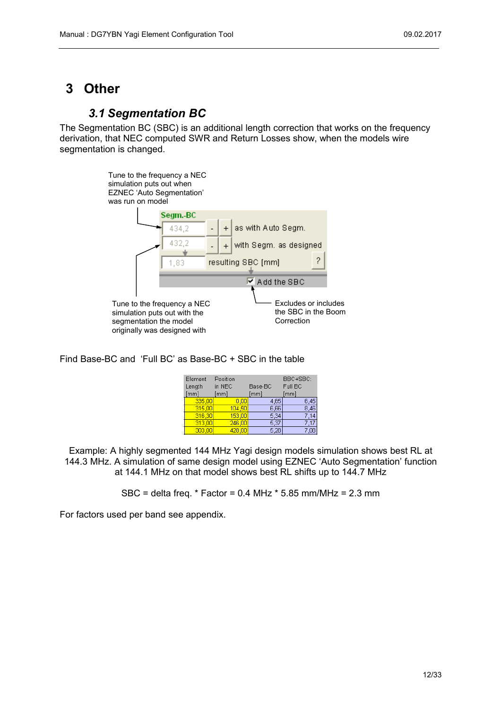# <span id="page-11-1"></span>**3 Other**

## <span id="page-11-0"></span>*3.1 Segmentation BC*

The Segmentation BC (SBC) is an additional length correction that works on the frequency derivation, that NEC computed SWR and Return Losses show, when the models wire segmentation is changed.



Find Base-BC and 'Full BC' as Base-BC + SBC in the table

| Element | Position |         | BBC+SBC: |
|---------|----------|---------|----------|
| Length  | in NEC   | Base-BC | Full BC  |
| [mm]    | [mm]     | [mm]    | [mm]     |
| 335,00  | 0.00     | 4.65    | 6,45     |
| 315,00  | 104,50   | 6.66    | 8.46     |
| 316,30  | 153,00   | 5,34    |          |
| 313,00  | 246,00   | 5.37    |          |
| 303.00  | 428.00   | 5.28    |          |

Example: A highly segmented 144 MHz Yagi design models simulation shows best RL at 144.3 MHz. A simulation of same design model using EZNEC 'Auto Segmentation' function at 144.1 MHz on that model shows best RL shifts up to 144.7 MHz

SBC = delta freq. \* Factor = 0.4 MHz \* 5.85 mm/MHz = 2.3 mm

For factors used per band see appendix.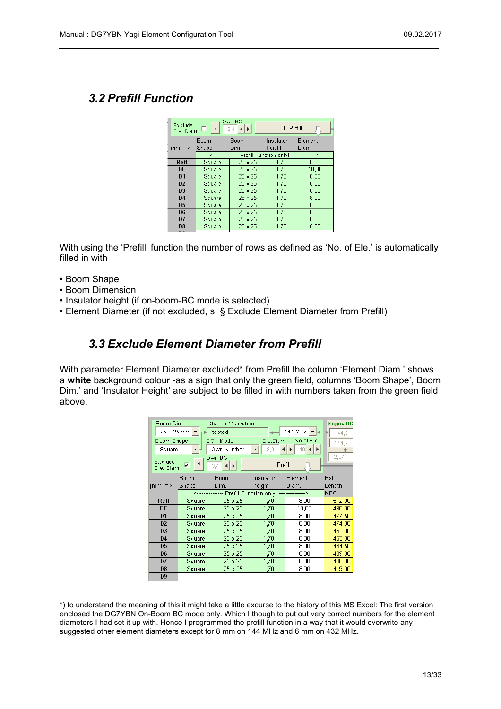## <span id="page-12-1"></span>*3.2 Prefill Function*

| Exclude<br>Ele. Diam. | $\left( 2\right)$ | Own BC<br>$3,4$ $\blacktriangleleft$ $\blacktriangleright$ | 1. Prefill          |                  |
|-----------------------|-------------------|------------------------------------------------------------|---------------------|------------------|
| $ mm $ =>             | Boom<br>Shape     | Boom<br>Dim.                                               | Insulator<br>height | Element<br>Diam. |
|                       |                   | <---------------- Prefill Function only! --------------->  |                     |                  |
| Refl                  | Square            | 25 x 25                                                    | 1,70                | 8,00             |
| <b>DE</b>             | Square            | 25 x 25                                                    | 1.70                | 10.00            |
| D <sub>1</sub>        | Square            | 25 x 25                                                    | 1,70                | 8,00             |
| D <sub>2</sub>        | Square            | 25 x 25                                                    | 1,70                | 8,00             |
| D <sub>3</sub>        | Square            | 25 x 25                                                    | 1.70                | 8.00             |
| D <sub>4</sub>        | Square            | 25 x 25                                                    | 1,70                | 8,00             |
| D <sub>5</sub>        | Square            | 25 x 25                                                    | 1,70                | 8.00             |
| D <sub>6</sub>        | Square            | 25 x 25                                                    | 1,70                | 8,00             |
| D7                    | Square            | 25 x 25                                                    | 1,70                | 8,00             |
| D <sub>8</sub>        | Square            | 25 x 25                                                    | 1,70                | 8,00             |
|                       |                   |                                                            |                     |                  |

With using the 'Prefill' function the number of rows as defined as 'No. of Ele.' is automatically filled in with

- Boom Shape
- Boom Dimension
- Insulator height (if on-boom-BC mode is selected)
- Element Diameter (if not excluded, s. § Exclude Element Diameter from Prefill)

#### <span id="page-12-0"></span>*3.3 Exclude Element Diameter from Prefill*

With parameter Element Diameter excluded\* from Prefill the column 'Element Diam.' shows a **white** background colour -as a sign that only the green field, columns 'Boom Shape', Boom Dim.' and 'Insulator Height' are subject to be filled in with numbers taken from the green field above.

| Boom Dim.                 |                                              | State of Validation                                       |            |                                                            | Segm.-BC   |
|---------------------------|----------------------------------------------|-----------------------------------------------------------|------------|------------------------------------------------------------|------------|
|                           | $25 \times 25$ mm $\leftarrow$ $\rightarrow$ | tested                                                    |            | 144 MHz $\mathbf{H}$                                       | 144.6      |
| <b>Boom Shape</b>         |                                              | BC - Mode                                                 | Ele.Diam.  | No.of Ele.                                                 | 144.2      |
| Square                    |                                              | Own Number                                                |            | $\mathbf{F}$ 8.0 $\mathbf{A}$ 10 $\mathbf{A}$ $\mathbf{F}$ |            |
|                           |                                              | Own BC                                                    |            |                                                            | 2.34       |
| Exclude<br>Ele. Diam.     | $\sqrt{2}$<br>⊽                              | 3.4 $\blacktriangleleft$ $\blacktriangleright$ $\rfloor$  | 1. Prefill |                                                            |            |
|                           | Boom                                         | Boom                                                      | Insulator. | Element                                                    | Half       |
| $\text{[mm]} \Rightarrow$ | Shape                                        | Dim.                                                      | height     | Diam.                                                      | Length     |
|                           |                                              | <---------------- Prefill Function only! ---------------> |            |                                                            | <b>NEC</b> |
| Refl                      | Square                                       | 25 x 25                                                   | 1,70       | 8,00                                                       | 512,00     |
| <b>DE</b>                 | Square                                       | 25 x 25                                                   | 1,70       | 10,00                                                      | 498,00     |
| D1                        | Square                                       | 25 x 25                                                   | 1,70       | 8,00                                                       | 477,50     |
| D <sub>2</sub>            | Square                                       | 25 x 25                                                   | 1,70       | 8,00                                                       | 474,00     |
| D <sub>3</sub>            | Square                                       | 25 x 25                                                   | 1,70       | 8,00                                                       | 461,00     |
| D <sub>4</sub>            | Square                                       | 25 x 25                                                   | 1,70       | 8,00                                                       | 453,00     |
| D <sub>5</sub>            | Square                                       | 25 x 25                                                   | 1,70       | 8,00                                                       | 444,50     |
| D <sub>6</sub>            | Square                                       | 25 x 25                                                   | 1,70       | 8,00                                                       | 439,00     |
| D7                        | Square                                       | 25 x 25                                                   | 1,70       | 8,00                                                       | 430,00     |
| D <sub>8</sub>            | Square                                       | 25 x 25                                                   | 1,70       | 8,00                                                       | 419,00     |
| D <sub>9</sub>            |                                              |                                                           |            |                                                            |            |
|                           |                                              |                                                           |            |                                                            |            |

\*) to understand the meaning of this it might take a little excurse to the history of this MS Excel: The first version enclosed the DG7YBN On-Boom BC mode only. Which I though to put out very correct numbers for the element diameters I had set it up with. Hence I programmed the prefill function in a way that it would overwrite any suggested other element diameters except for 8 mm on 144 MHz and 6 mm on 432 MHz.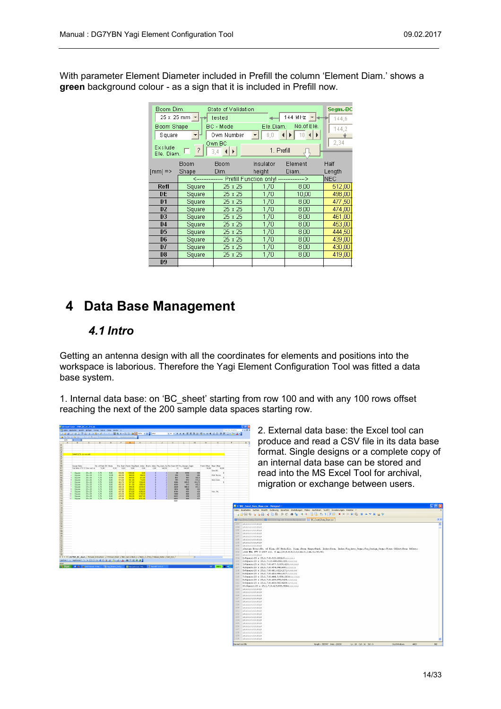With parameter Element Diameter included in Prefill the column 'Element Diam.' shows a **green** background colour - as a sign that it is included in Prefill now.

| Boom Dim.<br>Boom Shape<br>Square<br>Exclude:<br>Ele, Diam. | $25 \times 25$ mm $\leftarrow$ $\rightarrow$<br>$\sqrt{2}$ | State of Validation<br>tested<br>BC - Mode<br>Own Number<br>Own BC<br>$3,4$ $4$ $\blacktriangleright$ | Ele.Diam.<br>8,0<br>1. Prefill | 144 MHz $\vert \cdot \vert$<br>No. of Ele.<br>$10$ $\blacktriangleleft$ $\blacktriangleright$ | Segm.-BC<br>144.6<br>144.2<br>2.34 |
|-------------------------------------------------------------|------------------------------------------------------------|-------------------------------------------------------------------------------------------------------|--------------------------------|-----------------------------------------------------------------------------------------------|------------------------------------|
| $[mm] \Rightarrow$                                          | Boom<br>Shape                                              | Boom<br>Dim.<br><---------------- Prefill Function only! --------------->                             | Insulator<br>height            | Element<br>Diam.                                                                              | Half<br>Length<br><b>NEC</b>       |
| Refl                                                        | Square                                                     | 25 x 25                                                                                               | 1,70                           | 8,00                                                                                          | 512,00                             |
| <b>DE</b>                                                   | Square                                                     | 25 x 25                                                                                               | 1,70                           | 10,00                                                                                         | 498,00                             |
| D <sub>1</sub>                                              | Square                                                     | 25 x 25                                                                                               | 1,70                           | 8,00                                                                                          | 477,50                             |
| D <sub>2</sub>                                              | Square                                                     | 25 x 25                                                                                               | 1,70                           | 8,00                                                                                          | 474,00                             |
| D <sub>3</sub>                                              | Square                                                     | 25 x 25                                                                                               | 1,70                           | 8,00                                                                                          | 461.00                             |
| D <sub>4</sub>                                              | Square                                                     | 25 x 25                                                                                               | 1,70                           | 8,00                                                                                          | 453,00                             |
| D <sub>5</sub>                                              | Square                                                     | 25 x 25                                                                                               | 1,70                           | 8,00                                                                                          | 444,50                             |
| D <sub>6</sub>                                              | Square                                                     | 25 x 25                                                                                               | 1,70                           | 8,00                                                                                          | 439,00                             |
| D7                                                          | Square                                                     | 25 x 25                                                                                               | 1,70                           | 8,00                                                                                          | 430,00                             |
| D8                                                          | Square                                                     | 25 x 25                                                                                               | 1,70                           | 8,00                                                                                          | 419,00                             |
| D <sub>9</sub>                                              |                                                            |                                                                                                       |                                |                                                                                               |                                    |

# <span id="page-13-1"></span>**4 Data Base Management**

#### <span id="page-13-0"></span>*4.1 Intro*

Getting an antenna design with all the coordinates for elements and positions into the workspace is laborious. Therefore the Yagi Element Configuration Tool was fitted a data base system.

1. Internal data base: on 'BC\_sheet' starting from row 100 and with any 100 rows offset reaching the next of the 200 sample data spaces starting row.

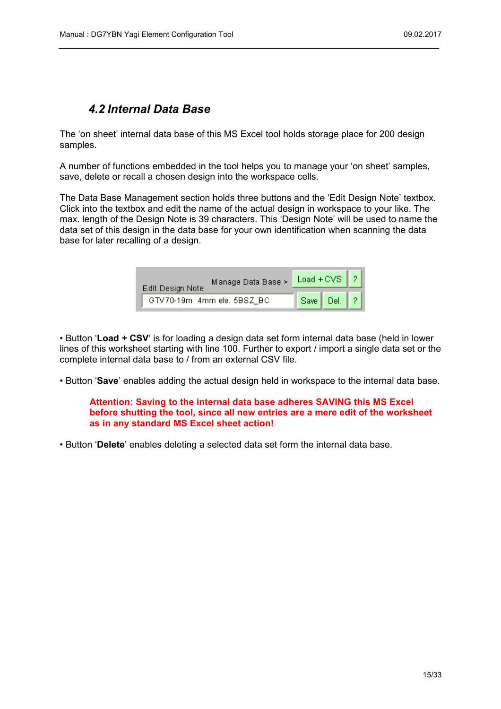#### <span id="page-14-0"></span>*4.2 Internal Data Base*

The 'on sheet' internal data base of this MS Excel tool holds storage place for 200 design samples.

A number of functions embedded in the tool helps you to manage your 'on sheet' samples, save, delete or recall a chosen design into the workspace cells.

The Data Base Management section holds three buttons and the 'Edit Design Note' textbox. Click into the textbox and edit the name of the actual design in workspace to your like. The max. length of the Design Note is 39 characters. This 'Design Note' will be used to name the data set of this design in the data base for your own identification when scanning the data base for later recalling of a design.

| Manage Data Base ><br>Edit Design Note | Load + CVS $\left  \right $ ? |  |
|----------------------------------------|-------------------------------|--|
| GTV 70-19m 4mm ele, 5BSZ_BC            | Save Del.                     |  |

• Button '**Load + CSV**' is for loading a design data set form internal data base (held in lower lines of this worksheet starting with line 100. Further to export / import a single data set or the complete internal data base to / from an external CSV file.

• Button '**Save**' enables adding the actual design held in workspace to the internal data base.

#### **Attention: Saving to the internal data base adheres SAVING this MS Excel before shutting the tool, since all new entries are a mere edit of the worksheet as in any standard MS Excel sheet action!**

• Button '**Delete**' enables deleting a selected data set form the internal data base.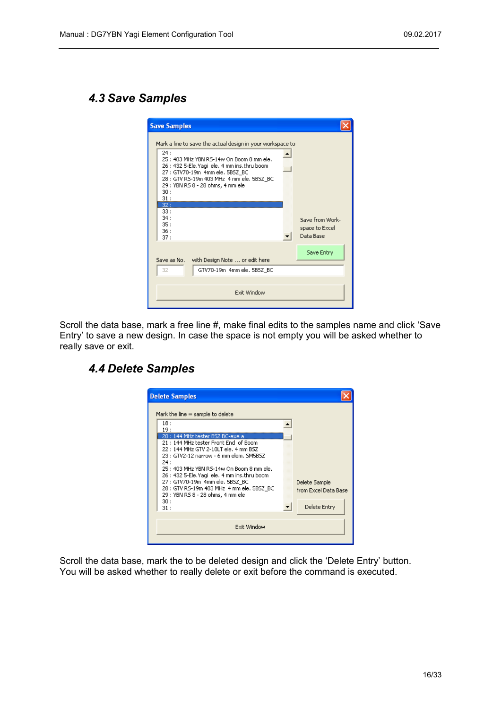## <span id="page-15-1"></span>*4.3 Save Samples*

| <b>Save Samples</b>                                                                                                                                                                                                                                                                              |                                                |
|--------------------------------------------------------------------------------------------------------------------------------------------------------------------------------------------------------------------------------------------------------------------------------------------------|------------------------------------------------|
| Mark a line to save the actual design in your workspace to<br>24:<br>25 : 403 MHz YBN RS-14w On Boom 8 mm ele.<br>26 : 432 5-Ele.Yaqi ele. 4 mm ins.thru boom<br>27 : GTV70-19m 4mm ele, 5BSZ_BC<br>28 : GTV RS-19m 403 MHz 4 mm ele, 5BSZ BC<br>29 : YBN RS 8 - 28 ohms, 4 mm ele<br>30:<br>31: |                                                |
| 32:<br>33:<br>34:<br>35:<br>36 :<br>37:                                                                                                                                                                                                                                                          | Save from Work-<br>space to Excel<br>Data Base |
| Save as No.<br>with Design Note  or edit here<br>GTV70-19m 4mm ele, 5BSZ BC<br>32                                                                                                                                                                                                                | Save Entry                                     |
| Exit Window                                                                                                                                                                                                                                                                                      |                                                |

Scroll the data base, mark a free line #, make final edits to the samples name and click 'Save Entry' to save a new design. In case the space is not empty you will be asked whether to really save or exit.

## <span id="page-15-0"></span>*4.4 Delete Samples*

| <b>Delete Samples</b>                                                                                                                                                                                                                                                                                                                                                                                                                                |                                                       |
|------------------------------------------------------------------------------------------------------------------------------------------------------------------------------------------------------------------------------------------------------------------------------------------------------------------------------------------------------------------------------------------------------------------------------------------------------|-------------------------------------------------------|
| Mark the line $=$ sample to delete<br>18:<br>19:<br>20: 144 MHz tester BSZ BC-exe a<br>21: 144 MHz tester Front End of Boom<br>22: 144 MHz GTV 2-10LT ele. 4 mm BSZ<br>23: GTV2-12 narrow - 6 mm elem. SM5BSZ<br>24:<br>25: 403 MHz YBN RS-14w On Boom 8 mm ele.<br>26 : 432 5-Ele. Yagi ele. 4 mm ins. thru boom<br>27 : GTV70-19m 4mm ele, 5BSZ BC<br>28 : GTV RS-19m 403 MHz 4 mm ele, 5BSZ BC<br>29 : YBN RS 8 - 28 ohms, 4 mm ele<br>30:<br>31: | Delete Sample<br>from Excel Data Base<br>Delete Entry |
| Exit Window                                                                                                                                                                                                                                                                                                                                                                                                                                          |                                                       |

Scroll the data base, mark the to be deleted design and click the 'Delete Entry' button. You will be asked whether to really delete or exit before the command is executed.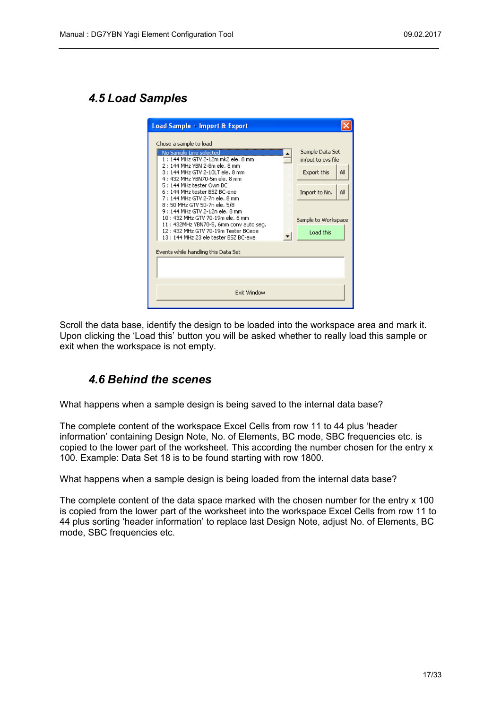#### <span id="page-16-1"></span>*4.5 Load Samples*

| Load Sample + Import & Export                                                                                                                                                                                                                                                                                                                                                                                                                                                                                                                                    |                                                                                                                         |
|------------------------------------------------------------------------------------------------------------------------------------------------------------------------------------------------------------------------------------------------------------------------------------------------------------------------------------------------------------------------------------------------------------------------------------------------------------------------------------------------------------------------------------------------------------------|-------------------------------------------------------------------------------------------------------------------------|
| Chose a sample to load<br>No Sample Line selected<br>1:144 MHz GTV 2-12m mk2 ele, 8 mm<br>2 : 144 MHz YBN 2-8m ele. 8 mm<br>3 : 144 MHz GTV 2-10LT ele. 8 mm<br>4: 432 MHz YBN70-5m ele, 8 mm<br>5: 144 MHz tester Own BC<br>6: 144 MHz tester BSZ BC-exe<br>7 : 144 MHz GTV 2-7n ele. 8 mm<br>8:50 MHz GTV 50-7n ele, 5/8<br>9 : 144 MHz GTV 2-12n ele. 8 mm<br>10: 432 MHz GTV 70-19m ele. 6 mm<br>11: 432MHz YBN70-5, 6mm conv auto seq.<br>12: 432 MHz GTV 70-19m Tester BCexe<br>13:144 MHz 23 ele tester BSZ BC-exe<br>Events while handling this Data Set | Sample Data Set<br>in/out to cys file<br>Export this<br>All<br>Import to No.<br>All<br>Sample to Workspace<br>Load this |
| <b>Fxit Window</b>                                                                                                                                                                                                                                                                                                                                                                                                                                                                                                                                               |                                                                                                                         |

Scroll the data base, identify the design to be loaded into the workspace area and mark it. Upon clicking the 'Load this' button you will be asked whether to really load this sample or exit when the workspace is not empty.

## <span id="page-16-0"></span>*4.6 Behind the scenes*

What happens when a sample design is being saved to the internal data base?

The complete content of the workspace Excel Cells from row 11 to 44 plus 'header information' containing Design Note, No. of Elements, BC mode, SBC frequencies etc. is copied to the lower part of the worksheet. This according the number chosen for the entry x 100. Example: Data Set 18 is to be found starting with row 1800.

What happens when a sample design is being loaded from the internal data base?

The complete content of the data space marked with the chosen number for the entry x 100 is copied from the lower part of the worksheet into the workspace Excel Cells from row 11 to 44 plus sorting 'header information' to replace last Design Note, adjust No. of Elements, BC mode, SBC frequencies etc.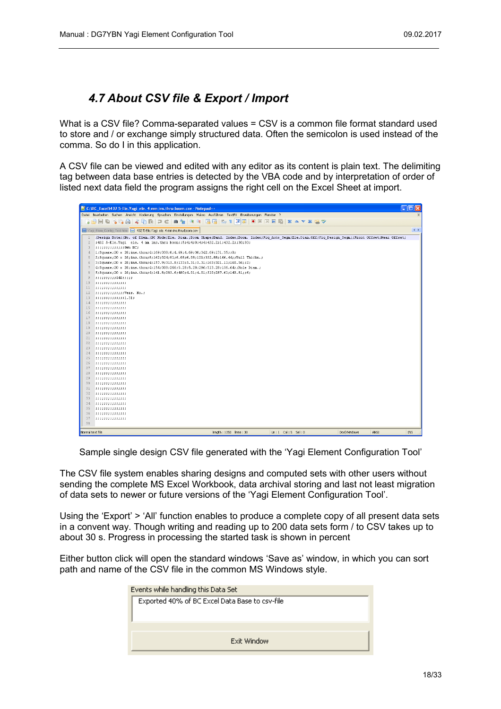## <span id="page-17-0"></span>*4.7 About CSV file & Export / Import*

What is a CSV file? Comma-separated values = CSV is a common file format standard used to store and / or exchange simply structured data. Often the semicolon is used instead of the comma. So do I in this application.

A CSV file can be viewed and edited with any editor as its content is plain text. The delimiting tag between data base entries is detected by the VBA code and by interpretation of order of listed next data field the program assigns the right cell on the Excel Sheet at import.

|                            | C:\BC_Excel\432 5-Ele.Yagi_ele. 4 mm ins.thru boom.csv - Notepad++<br>п                                                                                |
|----------------------------|--------------------------------------------------------------------------------------------------------------------------------------------------------|
|                            | Datei Bearbeiten Suchen Ansicht Kodierung Sprachen Einstellungen Makro Ausführen TextFX Erweiterungen Fenster ?                                        |
| $\circ$                    | ● 9 3 3 日日 5 1 耳回<br><b>NNE XAVER</b><br><b>B</b> G A<br>$\triangle$ the pc $\triangle$<br>$\bullet$ $\Box$<br>由<br>日日                                 |
|                            |                                                                                                                                                        |
|                            | $\leftrightarrow$<br>H Yaqi Elem Confiq Tool.htm   9 432 5-Ele. Yaqi ele. 4 mm ins.thru boom.csv                                                       |
| $\mathbf{1}$               | ;Design Note;;No. of Elem.;BC Mode;Ele. Diam.;Boom Shape;Band. Index;Boom. Index;Frq Auto Segm;Ele.Diam.Off;Frq Design Segm;;Front Offset;Rear Offset; |
| $\overline{c}$             | ;432 5-Ele. Yagi ele. 4 mm ins. thru boom;;5;4;4;0;4;4;432.2;1;432.2;;30;30;                                                                           |
| 3                          | 33333333333330Wm BC:                                                                                                                                   |
| $\mathcal{L}_{\mathbb{R}}$ | 1; Square: 20 x 20; ins. thru; 4; 169; 338; 0; 4, 69; 4, 69; 30; 342, 69; 171, 35; ; 0;                                                                |
| 5                          | 2;Square;20 x 20;ins.thru;8;162;324;91;6.08;6.08;121;332.88;166.44;;Wall Thickn.;                                                                      |
| 6                          | 3; Square; 20 x 20; ins. thru; 4; 157. 9; 315. 8; 133; 5. 31; 5. 31; 163; 321. 11; 160. 56; ; 2;                                                       |
| 7                          | 4:Square:20 x 20;ins.thru;4;154;308;266;5.28;5.28;296;313.28;156.64;;Hole Diam.;                                                                       |
| 8                          | 5:Square;20 x 20;ins.thru;4;141.8;283.6;480;4.01;4.01;510;287.61;143.81;;6;                                                                            |
| Q                          | ,,,,,,,,,,540,,,,,                                                                                                                                     |
| 10                         | ,,,,,,,,,,,,,,,                                                                                                                                        |
| 11                         | ,,,,,,,,,,,,,,,                                                                                                                                        |
| 12                         | 22222222222227Vers. No.2                                                                                                                               |
| 13                         |                                                                                                                                                        |
| 14                         | ,,,,,,,,,,,,,,,                                                                                                                                        |
| 15                         | ,,,,,,,,,,,,,,,                                                                                                                                        |
| 16                         | ,,,,,,,,,,,,,,,                                                                                                                                        |
| 17                         | ,,,,,,,,,,,,,,,                                                                                                                                        |
| 18                         | ,,,,,,,,,,,,,,,                                                                                                                                        |
| 19                         | ,,,,,,,,,,,,,,,                                                                                                                                        |
| 20 <sub>2</sub>            | ,,,,,,,,,,,,,,,,                                                                                                                                       |
| 21                         | ,,,,,,,,,,,,,,,                                                                                                                                        |
| 22                         | ,,,,,,,,,,,,,,,                                                                                                                                        |
| 23                         | ,,,,,,,,,,,,,,,                                                                                                                                        |
| 24                         | ,,,,,,,,,,,,,,,                                                                                                                                        |
| 25                         | ,,,,,,,,,,,,,,,                                                                                                                                        |
| 26                         | ,,,,,,,,,,,,,,,                                                                                                                                        |
| 27                         | ,,,,,,,,,,,,,,,                                                                                                                                        |
| 28                         | ,,,,,,,,,,,,,,,                                                                                                                                        |
| 29                         | ,,,,,,,,,,,,,,,                                                                                                                                        |
| 30                         | ,,,,,,,,,,,,,,,                                                                                                                                        |
| 31                         | ,,,,,,,,,,,,,,,                                                                                                                                        |
| 32                         | ,,,,,,,,,,,,,,,                                                                                                                                        |
| 33                         | ,,,,,,,,,,,,,,,,                                                                                                                                       |
| 34                         | ,,,,,,,,,,,,,,,                                                                                                                                        |
| 35                         | ,,,,,,,,,,,,,,,                                                                                                                                        |
| 36                         | ,,,,,,,,,,,,,,,                                                                                                                                        |
| 37                         | ,,,,,,,,,,,,,,,                                                                                                                                        |
| 38                         |                                                                                                                                                        |
| Normal text file           | length: 1150 lines: 38<br>$Ln: 1$ Col: 5 Sel: 0<br><b>DostWindows</b><br>ANSI<br>IN <sub>5</sub>                                                       |

Sample single design CSV file generated with the 'Yagi Element Configuration Tool'

The CSV file system enables sharing designs and computed sets with other users without sending the complete MS Excel Workbook, data archival storing and last not least migration of data sets to newer or future versions of the 'Yagi Element Configuration Tool'.

Using the 'Export' > 'All' function enables to produce a complete copy of all present data sets in a convent way. Though writing and reading up to 200 data sets form / to CSV takes up to about 30 s. Progress in processing the started task is shown in percent

Either button click will open the standard windows 'Save as' window, in which you can sort path and name of the CSV file in the common MS Windows style.

| Events while handling this Data Set            |             |  |  |  |  |  |  |
|------------------------------------------------|-------------|--|--|--|--|--|--|
| Exported 40% of BC Excel Data Base to csv-file |             |  |  |  |  |  |  |
|                                                |             |  |  |  |  |  |  |
|                                                |             |  |  |  |  |  |  |
|                                                |             |  |  |  |  |  |  |
|                                                | Exit Window |  |  |  |  |  |  |
|                                                |             |  |  |  |  |  |  |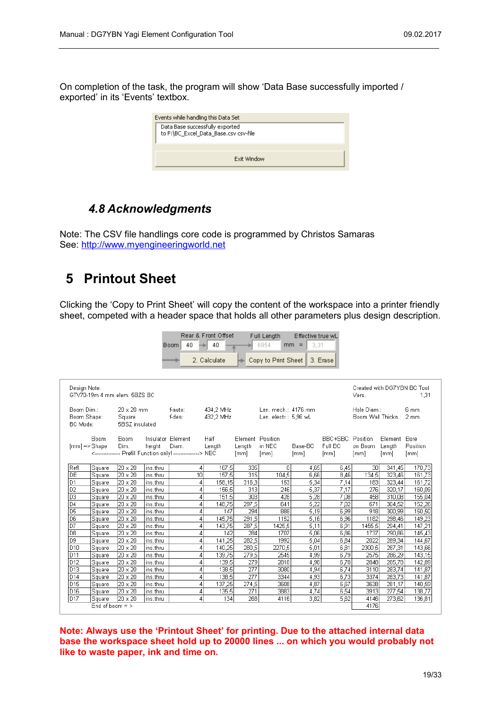On completion of the task, the program will show 'Data Base successfully imported / exported' in its 'Events' textbox.

| Events while handling this Data Set                                      |  |  |  |  |  |  |  |
|--------------------------------------------------------------------------|--|--|--|--|--|--|--|
| Data Base successfully exported<br>to F:\BC_Excel_Data_Base.csv csv-file |  |  |  |  |  |  |  |
|                                                                          |  |  |  |  |  |  |  |
| Exit Window                                                              |  |  |  |  |  |  |  |

#### <span id="page-18-1"></span>*4.8 Acknowledgments*

Note: The CSV file handlings core code is programmed by Christos Samaras See: [http://www.myengineeringworld.net](http://www.myengineeringworld.net/)

# <span id="page-18-0"></span>**5 Printout Sheet**

Clicking the 'Copy to Print Sheet' will copy the content of the workspace into a printer friendly sheet, competed with a header space that holds all other parameters plus design description.

|                                       |                                                                                              |                                        |          | 40<br><b>Boom</b>                                                                         | ⇥    | Rear & Front Offset<br>40 |                                    | Full Length<br>6954                          | Effective true wL<br>$mm =$<br>3,31 |                                      |                                        |                                |                  |
|---------------------------------------|----------------------------------------------------------------------------------------------|----------------------------------------|----------|-------------------------------------------------------------------------------------------|------|---------------------------|------------------------------------|----------------------------------------------|-------------------------------------|--------------------------------------|----------------------------------------|--------------------------------|------------------|
|                                       |                                                                                              |                                        |          |                                                                                           |      | 2. Calculate              |                                    | Copy to Print Sheet                          |                                     | 3. Erase                             |                                        |                                |                  |
|                                       | Design Note:<br>Created with DG7YBN BC Tool<br>GTV70-19m 4 mm elem, 5BZS BC<br>Vers.<br>1,31 |                                        |          |                                                                                           |      |                           |                                    |                                              |                                     |                                      |                                        |                                |                  |
| Boom Dim.:<br>Boom Shape:<br>BC Mode: |                                                                                              | 20 x 20 mm<br>Square<br>5BSZ insulated |          | f-auto:<br>f-des:                                                                         |      | 434,2 MHz<br>432,2 MHz    |                                    | Len, mech.: 4176 mm<br>Len. electr.: 5,96 wL |                                     |                                      | Hole Diam.:<br>Boom Wall Thickn.: 2 mm |                                | 6 mm             |
|                                       | Boom<br>$[mm] \Rightarrow$ Shape                                                             | Boom<br>Dim.                           | height   | Insulator Element<br>Diam.<br><--------------- Prefill Function only! --------------> NEC | Half | Length                    | Element Position<br>Length<br>[mm] | in NEC<br>[mm]                               | Base-BC<br>[mm]                     | BBC+SBC: Position<br>Full BC<br>[mm] | on Boom<br>[mm]                        | Element Bore<br>Length<br>[mm] | Position<br>[mm] |
| Refl                                  | Square                                                                                       | 20 x 20                                | ins.thru |                                                                                           | 4    | 167,5                     | 335                                | 0                                            | 4,65                                | 6,45                                 | 30                                     | 341,45                         | 170,73           |
| DE                                    | Square                                                                                       | 20 x 20                                | ins.thru |                                                                                           | 10   | 157,5                     | $\overline{315}$                   | 104,5                                        | 6,66                                | 8,46                                 | 134,5                                  | 323,46                         | 161,73           |
| D1                                    | Square                                                                                       | 20 x 20                                | ins.thru |                                                                                           | 4    | 158,15                    | 316,3                              | 153                                          | 5,34                                | 7,14                                 | 183                                    | 323,44                         | 161,72           |
| D <sub>2</sub>                        | Square                                                                                       | 20 x 20                                | ins.thru |                                                                                           | 4    | 156,5                     | 313                                | 246                                          | 5.37                                | 7,17                                 | 276                                    | 320,17                         | 160,09           |
| D3                                    | Square                                                                                       | 20 x 20                                | ins.thru |                                                                                           | 4    | 151,5                     | 303                                | 428                                          | 5,28                                | 7,08                                 | 458                                    | 310,08                         | 155,04           |
| D <sub>4</sub>                        | Square                                                                                       | 20 x 20                                | ins.thru |                                                                                           | 4    | 148.75                    | 297,5                              | 641                                          | 5,22                                | 7.02                                 | 671                                    | 304,52                         | 152,26           |
| $\overline{D5}$                       | Square                                                                                       | 20 x 20                                | ins.thru |                                                                                           | 4    | 147                       | 294                                | 888                                          | 5,19                                | 6,99                                 | 918                                    | 300,99                         | 150,50           |
| D <sub>6</sub>                        | Square                                                                                       | 20 x 20                                | ins.thru |                                                                                           | 4    | 145,75                    | 291,5                              | 1152                                         | 5,16                                | 6,96                                 | 1182                                   | 298,46                         | 149,23           |
| D7                                    | Square                                                                                       | 20 x 20                                | ins.thru |                                                                                           | 4    | 143,75                    | 287,5                              | 1425,5                                       | 5,11                                | 6,91                                 | 1455,5                                 | 294,41                         | 147,21           |
| D8                                    | Square                                                                                       | 20 x 20                                | ins.thru |                                                                                           | 4    | 142                       | 284                                | 1707                                         | 5,06                                | 6,86                                 | 1737                                   | 290,86                         | 145,43           |
| D <sub>9</sub>                        | Square                                                                                       | 20 x 20                                | ins.thru |                                                                                           | 4    | 141.25                    | 282,5                              | 1992                                         | 5,04                                | 6.84                                 | 2022                                   | 289.34                         | 144,67           |
| D <sub>10</sub>                       | <b>Square</b>                                                                                | $20 \times 20$                         | ins.thru |                                                                                           | 4    | 140.25                    | 280.5                              | 2270,5                                       | 5,01                                | 6,81                                 | 2300,5                                 | 287,31                         | 143,66           |
| D11                                   | Square                                                                                       | 20 x 20                                | ins.thru |                                                                                           | 4    | 139,75                    | 279,5                              | 2545                                         | 4,99                                | 6,79                                 | 2575                                   | 286,29                         | 143,15           |
| D <sub>12</sub>                       | Square                                                                                       | 20 x 20                                | ins.thru |                                                                                           | 4    | 139,5                     | 279                                | 2818                                         | 4,98                                | 6,78                                 | 2848                                   | 285.78                         | 142,89           |
| D <sub>13</sub>                       | Square                                                                                       | 20 x 20                                | ins.thru |                                                                                           | 4    | 138,5                     | 277                                | 3080                                         | 4,94                                | 6,74                                 | 3110                                   | 283,74                         | 141,87           |
| D14                                   | Square                                                                                       | 20 x 20                                | ins.thru |                                                                                           | 4    | 138,5                     | 277                                | 3344                                         | 4,93                                | 6,73                                 | 3374                                   | 283,73                         | 141,87           |
| D <sub>15</sub>                       | Square                                                                                       | 20 x 20                                | ins.thru |                                                                                           | 4    | 137,25                    | 274,5                              | 3608                                         | 4,87                                | 6,67                                 | 3638                                   | 281,17                         | 140,59           |
| D16                                   | Square                                                                                       | 20 x 20                                | ins.thru |                                                                                           | 4    | 135,5                     | 271                                | 3883                                         | 4,74                                | 6,54                                 | 3913                                   | 277,54                         | 138,77           |
| D17                                   | Square                                                                                       | 20 x 20                                | ins.thru |                                                                                           | 4    | 134                       | 268                                | 4116                                         | 3,82                                | 5,62                                 | 4146                                   | 273,62                         | 136,81           |
|                                       | End of boom $=$ >                                                                            |                                        |          |                                                                                           |      |                           |                                    |                                              |                                     |                                      | 4176                                   |                                |                  |

**Note: Always use the 'Printout Sheet' for printing. Due to the attached internal data base the workspace sheet hold up to 20000 lines ... on which you would probably not like to waste paper, ink and time on.**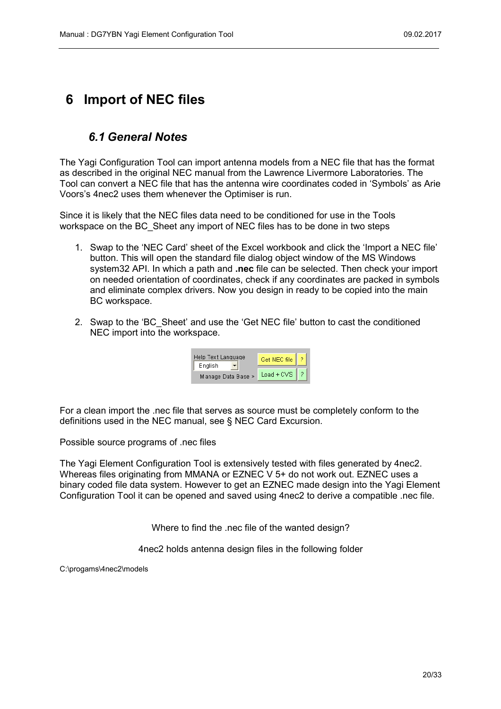# <span id="page-19-1"></span>**6 Import of NEC files**

#### <span id="page-19-0"></span>*6.1 General Notes*

The Yagi Configuration Tool can import antenna models from a NEC file that has the format as described in the original NEC manual from the Lawrence Livermore Laboratories. The Tool can convert a NEC file that has the antenna wire coordinates coded in 'Symbols' as Arie Voors's 4nec2 uses them whenever the Optimiser is run.

Since it is likely that the NEC files data need to be conditioned for use in the Tools workspace on the BC\_Sheet any import of NEC files has to be done in two steps

- 1. Swap to the 'NEC Card' sheet of the Excel workbook and click the 'Import a NEC file' button. This will open the standard file dialog object window of the MS Windows system32 API. In which a path and **.nec** file can be selected. Then check your import on needed orientation of coordinates, check if any coordinates are packed in symbols and eliminate complex drivers. Now you design in ready to be copied into the main BC workspace.
- 2. Swap to the 'BC\_Sheet' and use the 'Get NEC file' button to cast the conditioned NEC import into the workspace.

| Help Text Language<br>English | Get NEC file |  |
|-------------------------------|--------------|--|
| Manage Data Base >            | $Load + CVS$ |  |

For a clean import the .nec file that serves as source must be completely conform to the definitions used in the NEC manual, see § NEC Card Excursion.

Possible source programs of .nec files

The Yagi Element Configuration Tool is extensively tested with files generated by 4nec2. Whereas files originating from MMANA or EZNEC V 5+ do not work out. EZNEC uses a binary coded file data system. However to get an EZNEC made design into the Yagi Element Configuration Tool it can be opened and saved using 4nec2 to derive a compatible .nec file.

Where to find the .nec file of the wanted design?

4nec2 holds antenna design files in the following folder

C:\progams\4nec2\models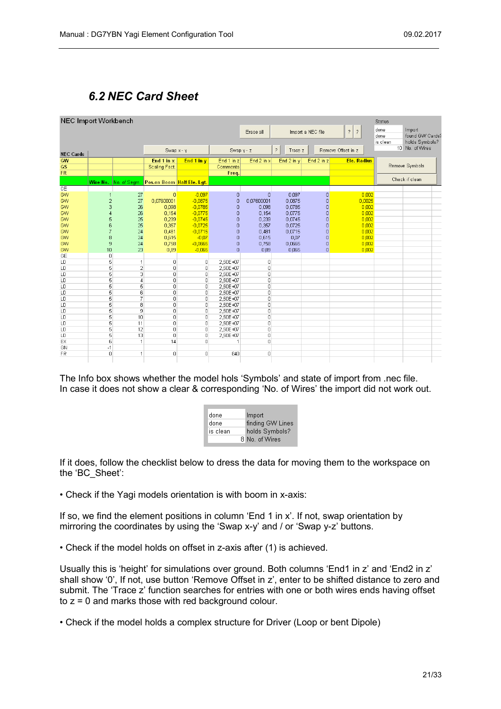## <span id="page-20-0"></span>*6.2 NEC Card Sheet*

| <b>NEC Import Workbench</b> |                |                       |                                 |                                  |                      | Erase all           |                           | Import a NEC file | $\frac{2}{7}$<br>$\overline{?}$ | <b>Status</b><br>done | Import          |
|-----------------------------|----------------|-----------------------|---------------------------------|----------------------------------|----------------------|---------------------|---------------------------|-------------------|---------------------------------|-----------------------|-----------------|
|                             |                |                       |                                 |                                  |                      |                     |                           |                   |                                 | done                  | found GW Cards? |
|                             |                |                       |                                 |                                  |                      |                     |                           |                   |                                 | is clean              | holds Symbols?  |
| <b>NEC Cards</b>            |                |                       |                                 | Swap $x - y$                     | Swap $y - z$         |                     | $\overline{?}$<br>Trace z |                   | Remove Offset in z              |                       | 10 No. of Wires |
| <b>GW</b>                   |                |                       | End 1 in x                      | End $1$ in $y$                   | End 1 in z           | End 2 in x          | End 2 in y                | End 2 in z        | <b>Ele. Radius</b>              |                       |                 |
| GS                          |                |                       | <b>Scaling Fact.</b>            |                                  | Comments             |                     |                           |                   |                                 |                       | Remove Symbols  |
| <b>FR</b>                   |                |                       |                                 |                                  | Freq.                |                     |                           |                   |                                 |                       |                 |
|                             |                | Wire No. No. of Segm. | Pos.on Boom Half Ele. Lgt.      |                                  |                      |                     |                           |                   |                                 |                       | Check if clean  |
| CE                          |                |                       |                                 |                                  |                      |                     |                           |                   |                                 |                       |                 |
| GW                          |                | 27                    | $\overline{0}$                  | $-0,097$                         | 0                    | $\overline{0}$      | 0,097                     | 0                 | 0.002                           |                       |                 |
| GW                          | $\overline{a}$ | 27                    | 0.07600001                      | $-0.0875$                        | 0                    | 0.07600001          | 0.0875                    | o                 | 0,0025                          |                       |                 |
| GW                          | 3              | 26                    | 0,098                           | $-0,0785$                        | 0                    | 0,098               | 0,0785                    | O                 | 0,002                           |                       |                 |
| GW                          | $\overline{4}$ | 26                    | 0,154                           | $-0.0775$                        | 0                    | 0,154               | 0,0775                    | ō                 | 0,002                           |                       |                 |
| GW                          | 5              | 25                    | 0,239                           | $-0.0745$                        | 0                    | 0,239               | 0.0745                    | O                 | 0,002                           |                       |                 |
| GW                          | 6              | 25                    | 0,357                           | $-0,0725$                        | $\overline{0}$       | 0,357               | 0,0725                    | Ō                 | 0,002                           |                       |                 |
| GW                          | $\bar{7}$      | 24                    | 0,481                           | $-0.0715$                        | 0                    | 0,481               | 0,0715                    | ō                 | 0.002                           |                       |                 |
| GW                          | 8              | 24                    | 0,615                           | $-0.07$                          | 0                    | 0.615               | 0.07                      | Ō                 | 0,002                           |                       |                 |
| <b>GW</b>                   | 9              | 24                    | 0,758                           | $-0.0665$                        | 0                    | 0.758               | 0.0665                    | 0                 | 0.002                           |                       |                 |
| GW                          | 10             | 23                    | 0,89                            | $-0.065$                         | 0                    | 0.89                | 0,065                     | $\overline{0}$    | 0,002                           |                       |                 |
| GE                          | 0              |                       |                                 |                                  |                      |                     |                           |                   |                                 |                       |                 |
| LD                          | 5              | $\mathbf{1}$          | 0                               | $\overline{0}$                   | 2,50E+07             | 0                   |                           |                   |                                 |                       |                 |
| LD<br>LD                    | 5<br>5         | $\overline{a}$<br>3   | $\mathbb O$<br>$\boldsymbol{0}$ | $\overline{0}$<br>$\overline{0}$ | 2,50E+07<br>2,50E+07 | 0<br>$\overline{0}$ |                           |                   |                                 |                       |                 |
| LD                          | 5              | $\overline{4}$        | 0                               | $\overline{0}$                   | 2,50E+07             | 0                   |                           |                   |                                 |                       |                 |
| LD                          | 5              | 5                     | 0                               | $\Omega$                         | 2,50E+07             | 0                   |                           |                   |                                 |                       |                 |
| LD                          | 5              | 6                     | 0                               | O                                | 2,50E+07             | 0                   |                           |                   |                                 |                       |                 |
| LD                          | 5              | $\overline{7}$        | 0                               | $\overline{0}$                   | 2,50E+07             | $\overline{0}$      |                           |                   |                                 |                       |                 |
| LD                          | 5              | 8                     | 0                               | $\Omega$                         | 2,50E+07             | 0                   |                           |                   |                                 |                       |                 |
| LD                          | 5              | 9                     | $\mathbf 0$                     | $\overline{0}$                   | 2.50E+07             | $\mathbf 0$         |                           |                   |                                 |                       |                 |
| LD                          | 5              | 10                    | $\mathbf 0$                     | $\Omega$                         | 2,50E+07             | 0                   |                           |                   |                                 |                       |                 |
| LD                          | 5              | 11                    | 0                               | $\overline{0}$                   | 2,50E+07             | 0                   |                           |                   |                                 |                       |                 |
| LD                          | 5              | 12                    | 0                               | $\overline{0}$                   | 2.50E+07             | $\mathbf 0$         |                           |                   |                                 |                       |                 |
| LD                          | 5              | 13                    | 0                               | $\overline{0}$                   | 2,50E+07             | 0                   |                           |                   |                                 |                       |                 |
| EX                          | 6              | $\mathbf{1}$          | 14                              | O                                | 1                    | 0                   |                           |                   |                                 |                       |                 |
| GN                          | $-1$           |                       |                                 |                                  |                      |                     |                           |                   |                                 |                       |                 |
| FR                          | 0              | 1                     | 0                               | $\overline{0}$                   | 840                  | 0                   |                           |                   |                                 |                       |                 |
|                             |                |                       |                                 |                                  |                      |                     |                           |                   |                                 |                       |                 |

The Info box shows whether the model hols 'Symbols' and state of import from .nec file. In case it does not show a clear & corresponding 'No. of Wires' the import did not work out.

| done     | Import           |
|----------|------------------|
| done     | finding GW Lines |
| is clean | holds Symbols?   |
|          | 8 No. of Wires   |

If it does, follow the checklist below to dress the data for moving them to the workspace on the 'BC\_Sheet':

• Check if the Yagi models orientation is with boom in x-axis:

If so, we find the element positions in column 'End 1 in x'. If not, swap orientation by mirroring the coordinates by using the 'Swap x-y' and / or 'Swap y-z' buttons.

• Check if the model holds on offset in z-axis after (1) is achieved.

Usually this is 'height' for simulations over ground. Both columns 'End1 in z' and 'End2 in z' shall show '0', If not, use button 'Remove Offset in z', enter to be shifted distance to zero and submit. The 'Trace z' function searches for entries with one or both wires ends having offset to z = 0 and marks those with red background colour.

• Check if the model holds a complex structure for Driver (Loop or bent Dipole)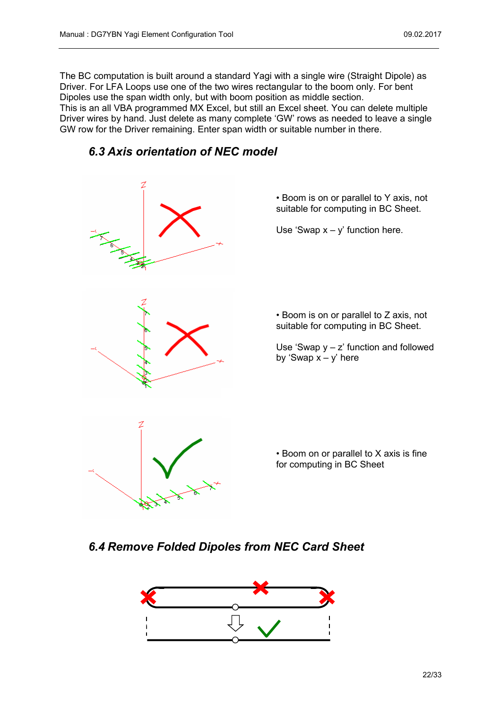The BC computation is built around a standard Yagi with a single wire (Straight Dipole) as Driver. For LFA Loops use one of the two wires rectangular to the boom only. For bent Dipoles use the span width only, but with boom position as middle section.

This is an all VBA programmed MX Excel, but still an Excel sheet. You can delete multiple Driver wires by hand. Just delete as many complete 'GW' rows as needed to leave a single GW row for the Driver remaining. Enter span width or suitable number in there.



<span id="page-21-1"></span>

#### <span id="page-21-0"></span>*6.4 Remove Folded Dipoles from NEC Card Sheet*

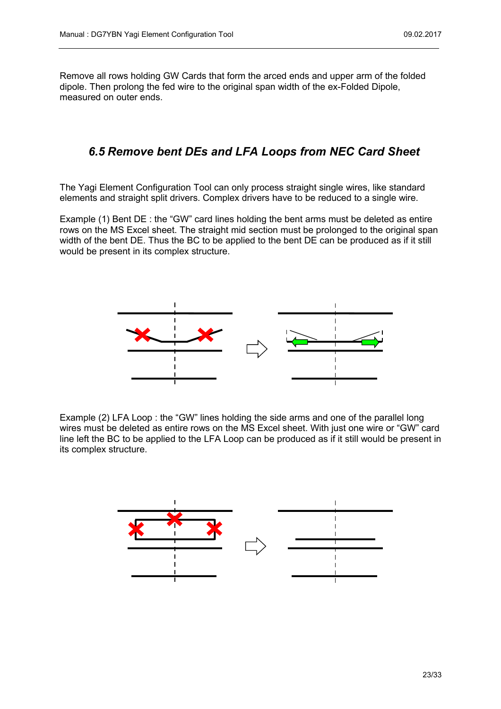Remove all rows holding GW Cards that form the arced ends and upper arm of the folded dipole. Then prolong the fed wire to the original span width of the ex-Folded Dipole, measured on outer ends.

#### <span id="page-22-0"></span>*6.5 Remove bent DEs and LFA Loops from NEC Card Sheet*

The Yagi Element Configuration Tool can only process straight single wires, like standard elements and straight split drivers. Complex drivers have to be reduced to a single wire.

Example (1) Bent DE : the "GW" card lines holding the bent arms must be deleted as entire rows on the MS Excel sheet. The straight mid section must be prolonged to the original span width of the bent DE. Thus the BC to be applied to the bent DE can be produced as if it still would be present in its complex structure.



Example (2) LFA Loop : the "GW" lines holding the side arms and one of the parallel long wires must be deleted as entire rows on the MS Excel sheet. With just one wire or "GW" card line left the BC to be applied to the LFA Loop can be produced as if it still would be present in its complex structure.

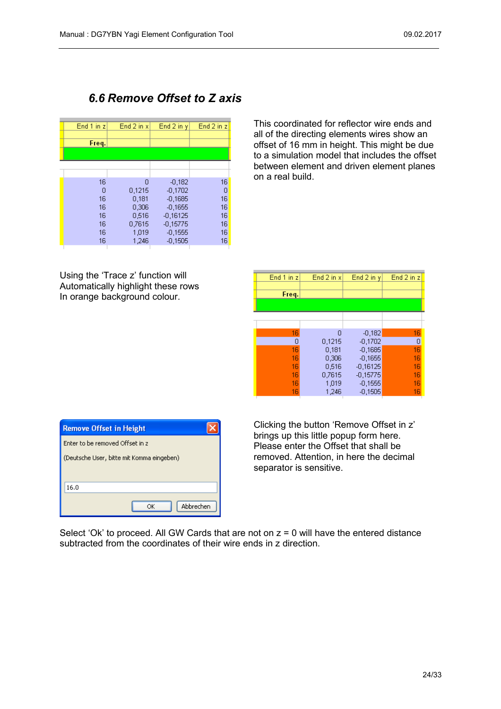## <span id="page-23-0"></span>*6.6 Remove Offset to Z axis*

| End $2$ in $x$ | End 2 in y     | End 2 in z              |
|----------------|----------------|-------------------------|
|                |                |                         |
|                |                |                         |
|                |                |                         |
| Ω              | $-0,182$       | 16                      |
| 0,1215         | $-0,1702$      | 0                       |
| 0.181          | $-0.1685$      | 16                      |
|                |                | 16                      |
|                |                | 16                      |
| 0.7615         | $-0.15775$     | 16                      |
| 1,019          | $-0,1555$      | 16                      |
| 1,246          | $-0.1505$      | 16                      |
|                | 0,306<br>0.516 | $-0.1655$<br>$-0.16125$ |

Using the 'Trace z' function will Automatically highlight these rows In orange background colour.

This coordinated for reflector wire ends and all of the directing elements wires show an offset of 16 mm in height. This might be due to a simulation model that includes the offset between element and driven element planes on a real build.

| End 1 in z | End $2$ in $x$ | End 2 in y | End 2 in z |
|------------|----------------|------------|------------|
|            |                |            |            |
| Freq.      |                |            |            |
|            |                |            |            |
|            |                |            |            |
|            |                |            |            |
| 16         | Π              | $-0,182$   | 16         |
| 0          | 0,1215         | $-0,1702$  | 0          |
| 16         | 0,181          | $-0,1685$  | 16         |
| 16         | 0,306          | $-0,1655$  | 16         |
| 16         | 0,516          | $-0,16125$ | 16         |
| 16         | 0,7615         | $-0,15775$ | 16         |
| 16         | 1,019          | $-0,1555$  | 16         |
| 16         | 1.246          | $-0,1505$  | 16         |

| <b>Remove Offset in Height</b>            |  |  |  |  |  |  |  |
|-------------------------------------------|--|--|--|--|--|--|--|
| Enter to be removed Offset in z           |  |  |  |  |  |  |  |
| (Deutsche User, bitte mit Komma eingeben) |  |  |  |  |  |  |  |
|                                           |  |  |  |  |  |  |  |
| 16.0                                      |  |  |  |  |  |  |  |
| Abbrechen<br>ОΚ                           |  |  |  |  |  |  |  |

Clicking the button 'Remove Offset in z' brings up this little popup form here. Please enter the Offset that shall be removed. Attention, in here the decimal separator is sensitive.

Select 'Ok' to proceed. All GW Cards that are not on  $z = 0$  will have the entered distance subtracted from the coordinates of their wire ends in z direction.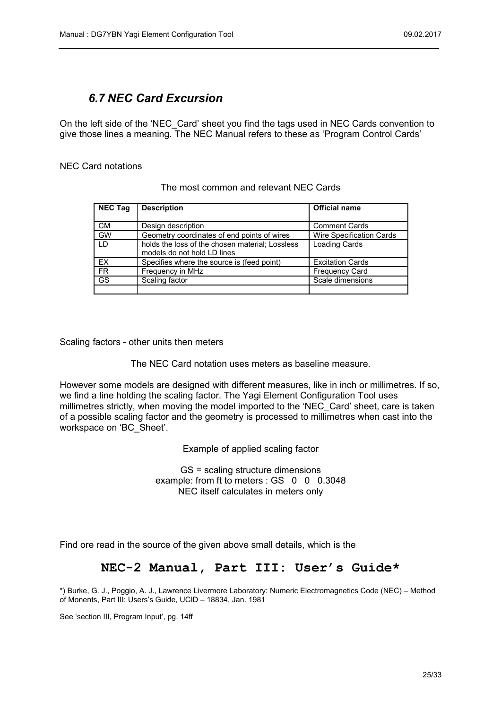## <span id="page-24-0"></span>*6.7 NEC Card Excursion*

On the left side of the 'NEC\_Card' sheet you find the tags used in NEC Cards convention to give those lines a meaning. The NEC Manual refers to these as 'Program Control Cards'

#### NEC Card notations

| <b>NEC Tag</b>         | <b>Description</b>                              | <b>Official name</b>            |
|------------------------|-------------------------------------------------|---------------------------------|
|                        |                                                 |                                 |
| CM                     | Design description                              | <b>Comment Cards</b>            |
| <b>GW</b>              | Geometry coordinates of end points of wires     | <b>Wire Specification Cards</b> |
| ID.                    | holds the loss of the chosen material; Lossless | Loading Cards                   |
|                        | models do not hold LD lines                     |                                 |
| EX.                    | Specifies where the source is (feed point)      | <b>Excitation Cards</b>         |
| <b>FR</b>              | Frequency in MHz                                | <b>Frequency Card</b>           |
| $\overline{\text{GS}}$ | Scaling factor                                  | Scale dimensions                |

#### The most common and relevant NEC Cards

Scaling factors - other units then meters

The NEC Card notation uses meters as baseline measure.

However some models are designed with different measures, like in inch or millimetres. If so, we find a line holding the scaling factor. The Yagi Element Configuration Tool uses millimetres strictly, when moving the model imported to the 'NEC\_Card' sheet, care is taken of a possible scaling factor and the geometry is processed to millimetres when cast into the workspace on 'BC\_Sheet'.

Example of applied scaling factor

GS = scaling structure dimensions example: from ft to meters : GS 0 0 0.3048 NEC itself calculates in meters only

Find ore read in the source of the given above small details, which is the

#### **NEC-2 Manual, Part III: User's Guide\***

\*) Burke, G. J., Poggio, A. J., Lawrence Livermore Laboratory: Numeric Electromagnetics Code (NEC) – Method of Monents, Part III: Users's Guide, UCID – 18834, Jan. 1981

See 'section III, Program Input', pg. 14ff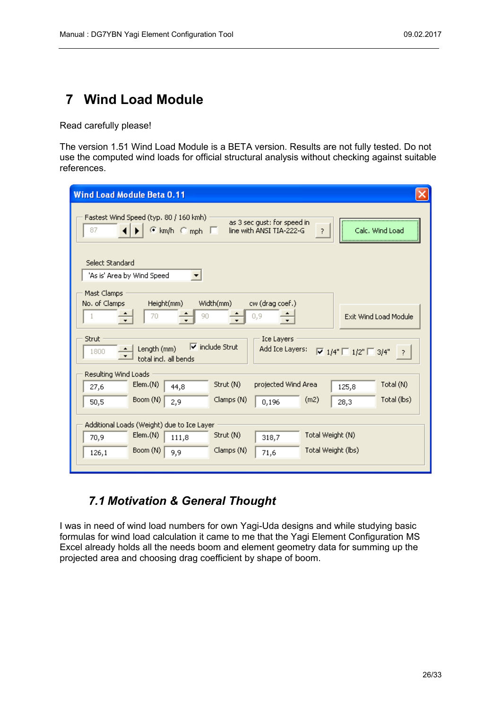# <span id="page-25-1"></span>**7 Wind Load Module**

Read carefully please!

The version 1.51 Wind Load Module is a BETA version. Results are not fully tested. Do not use the computed wind loads for official structural analysis without checking against suitable references.

| Wind Load Module Beta 0.11                                                                                                                                                                                                             |  |  |  |  |  |  |  |
|----------------------------------------------------------------------------------------------------------------------------------------------------------------------------------------------------------------------------------------|--|--|--|--|--|--|--|
| Fastest Wind Speed (typ. 80 / 160 kmh)<br>as 3 sec gust: for speed in<br>$\odot$ km/h $\odot$ mph $\Box$<br>87<br>line with ANSI TIA-222-G<br>Calc. Wind Load<br>7                                                                     |  |  |  |  |  |  |  |
| Select Standard                                                                                                                                                                                                                        |  |  |  |  |  |  |  |
| 'As is' Area by Wind Speed                                                                                                                                                                                                             |  |  |  |  |  |  |  |
| Mast Clamps                                                                                                                                                                                                                            |  |  |  |  |  |  |  |
| No. of Clamps<br>Width(mm)<br>Height(mm)<br>cw (drag coef.)<br>0,9<br>70<br>90<br>Exit Wind Load Module                                                                                                                                |  |  |  |  |  |  |  |
| <b>Strut</b><br>Ice Layers<br>$\overline{\mathsf{v}}$ include Strut<br>Length (mm)<br>Add Ice Layers:<br>$\overline{\triangledown}$ 1/4" $\overline{\square}$ 1/2" $\overline{\square}$ 3/4"<br>1800<br>- ? -<br>total incl. all bends |  |  |  |  |  |  |  |
| Resulting Wind Loads                                                                                                                                                                                                                   |  |  |  |  |  |  |  |
| Strut (N)<br>projected Wind Area<br>Total (N)<br>Elem.(N)<br>125,8<br>44,8<br>27,6                                                                                                                                                     |  |  |  |  |  |  |  |
| Total (lbs)<br>Boom (N)<br>Clamps (N)<br>(m2)<br>2,9<br>50,5<br>0,196<br>28,3                                                                                                                                                          |  |  |  |  |  |  |  |
| Additional Loads (Weight) due to Ice Layer                                                                                                                                                                                             |  |  |  |  |  |  |  |
| Elem.(N)<br>Strut (N)<br>Total Weight (N)<br>70,9<br>111,8<br>318,7                                                                                                                                                                    |  |  |  |  |  |  |  |
| Boom (N)<br>Clamps (N)<br>Total Weight (lbs)<br>9,9<br>126,1<br>71,6                                                                                                                                                                   |  |  |  |  |  |  |  |

## <span id="page-25-0"></span>*7.1 Motivation & General Thought*

I was in need of wind load numbers for own Yagi-Uda designs and while studying basic formulas for wind load calculation it came to me that the Yagi Element Configuration MS Excel already holds all the needs boom and element geometry data for summing up the projected area and choosing drag coefficient by shape of boom.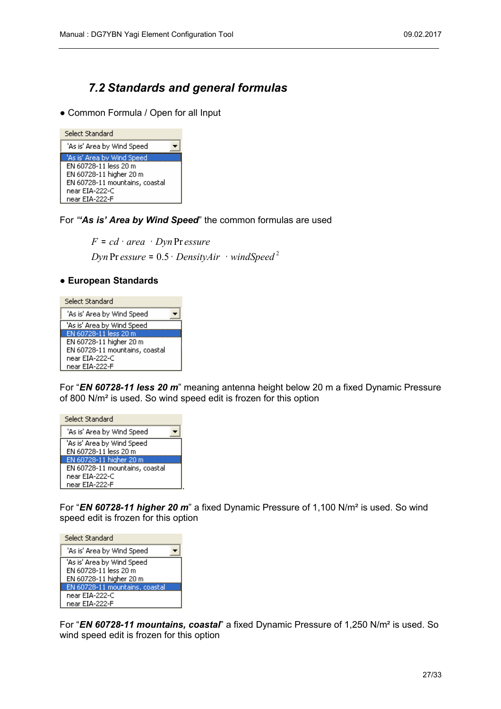## <span id="page-26-0"></span>*7.2 Standards and general formulas*

● Common Formula / Open for all Input

| Select Standard                |  |
|--------------------------------|--|
| 'As is' Area by Wind Speed     |  |
| 'As is' Area by Wind Speed     |  |
| FN 60728-11 less 20 m          |  |
| EN 60728-11 higher 20 m        |  |
| EN 60728-11 mountains, coastal |  |
| near EIA-222-C                 |  |
| near EIA-222-F                 |  |

For *"'As is' Area by Wind Speed*" the common formulas are used

*F* <sup>=</sup> *cd* <sup>⋅</sup> *area* <sup>⋅</sup> *Dyn*Pr *essure* <sup>2</sup> *Dyn*Pr *essure* <sup>=</sup> 0.5 <sup>⋅</sup> *DensityAir* <sup>⋅</sup> *windSpeed*

#### ● **European Standards**

| Select Standard                |  |
|--------------------------------|--|
| 'As is' Area by Wind Speed     |  |
| 'As is' Area by Wind Speed     |  |
| EN 60728-11 less 20 m          |  |
| EN 60728-11 higher 20 m        |  |
| EN 60728-11 mountains, coastal |  |
| near EIA-222-C                 |  |
| near EIA-222-F                 |  |

For "*EN 60728-11 less 20 m*" meaning antenna height below 20 m a fixed Dynamic Pressure of 800 N/m² is used. So wind speed edit is frozen for this option

| Select Standard                                           |  |
|-----------------------------------------------------------|--|
| 'As is' Area by Wind Speed                                |  |
| 'As is' Area by Wind Speed<br>EN 60728-11 less 20 m       |  |
| EN 60728-11 higher 20 m<br>EN 60728-11 mountains, coastal |  |
| near EIA-222-C<br>near EIA-222-F                          |  |

For "*EN 60728-11 higher 20 m*" a fixed Dynamic Pressure of 1,100 N/m² is used. So wind speed edit is frozen for this option

| Select Standard                                                                |  |
|--------------------------------------------------------------------------------|--|
| 'As is' Area by Wind Speed                                                     |  |
| 'As is' Area by Wind Speed<br>EN 60728-11 less 20 m<br>EN 60728-11 higher 20 m |  |
| EN 60728-11 mountains, coastal<br>near EIA-222-C<br>near EIA-222-F             |  |

For "*EN 60728-11 mountains, coastal*" a fixed Dynamic Pressure of 1,250 N/m² is used. So wind speed edit is frozen for this option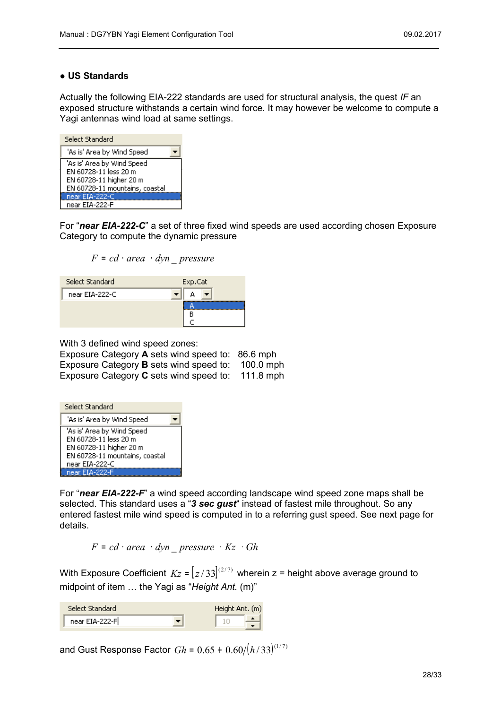#### ● **US Standards**

Actually the following EIA-222 standards are used for structural analysis, the quest *IF* an exposed structure withstands a certain wind force. It may however be welcome to compute a Yagi antennas wind load at same settings.

| Select Standard                                                                                                  |  |
|------------------------------------------------------------------------------------------------------------------|--|
| 'As is' Area by Wind Speed                                                                                       |  |
| 'As is' Area by Wind Speed<br>EN 60728-11 less 20 m<br>EN 60728-11 higher 20 m<br>EN 60728-11 mountains, coastal |  |
| near EIA-222-C                                                                                                   |  |
| near EIA-222-F                                                                                                   |  |

For "*near EIA-222-C*" a set of three fixed wind speeds are used according chosen Exposure Category to compute the dynamic pressure

*F* <sup>=</sup> *cd* <sup>⋅</sup> *area* <sup>⋅</sup> *dyn* \_ *pressure*



With 3 defined wind speed zones:

| Exposure Category A sets wind speed to: 86.6 mph  |           |
|---------------------------------------------------|-----------|
| Exposure Category B sets wind speed to: 100.0 mph |           |
| Exposure Category C sets wind speed to:           | 111.8 mph |

| Select Standard                                                                                                                    |  |
|------------------------------------------------------------------------------------------------------------------------------------|--|
| 'As is' Area by Wind Speed                                                                                                         |  |
| 'As is' Area by Wind Speed<br>FN 60728-11 less 20 m<br>EN 60728-11 higher 20 m<br>EN 60728-11 mountains, coastal<br>near EIA-222-C |  |
| near EIA-222-F                                                                                                                     |  |

For "*near EIA-222-F*" a wind speed according landscape wind speed zone maps shall be selected. This standard uses a "*3 sec gust*" instead of fastest mile throughout. So any entered fastest mile wind speed is computed in to a referring gust speed. See next page for details.

*F* <sup>=</sup> *cd* <sup>⋅</sup> *area* <sup>⋅</sup> *dyn* \_ *pressure* <sup>⋅</sup> *Kz* <sup>⋅</sup> *Gh*

With Exposure Coefficient  $\mathit{Kz}$  =  $[z \, \mathit{'}33]^{(277)}$  wherein z = height above average ground to midpoint of item … the Yagi as "*Height Ant.* (m)"

| Select Standard | Height Ant. (m) |
|-----------------|-----------------|
| near EIA-222-F  |                 |

and Gust Response Factor  $Gh$  =  $\ 0.65 + \ 0.60 / {\left(h \, / \, 33\right)}^{\,(1/7)}$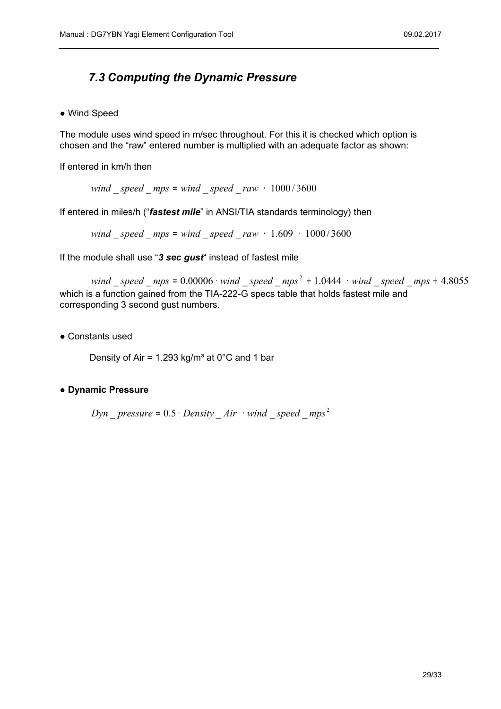# <span id="page-28-0"></span>*7.3 Computing the Dynamic Pressure*

● Wind Speed

The module uses wind speed in m/sec throughout. For this it is checked which option is chosen and the "raw" entered number is multiplied with an adequate factor as shown:

If entered in km/h then

*wind* \_ *speed* \_ *mps* <sup>=</sup> *wind* \_ *speed* \_ *raw* <sup>⋅</sup> 1000 / 3600

If entered in miles/h ("*fastest mile*" in ANSI/TIA standards terminology) then

*wind* \_ *speed* \_ *mps* <sup>=</sup> *wind* \_ *speed* \_ *raw* <sup>⋅</sup> 1.609 <sup>⋅</sup> 1000 / 3600

If the module shall use "*3 sec gust*" instead of fastest mile

 $wind$  speed  $mps = 0.00006$  wind speed  $mps^2 + 1.0444$  wind speed  $mps + 4.8055$ which is a function gained from the TIA-222-G specs table that holds fastest mile and corresponding 3 second gust numbers.

● Constants used

Density of Air = 1.293 kg/m<sup>3</sup> at  $0^{\circ}$ C and 1 bar

#### ● **Dynamic Pressure**

```
Dyn pressure = 0.5 Density Air wind _speed mps^2
```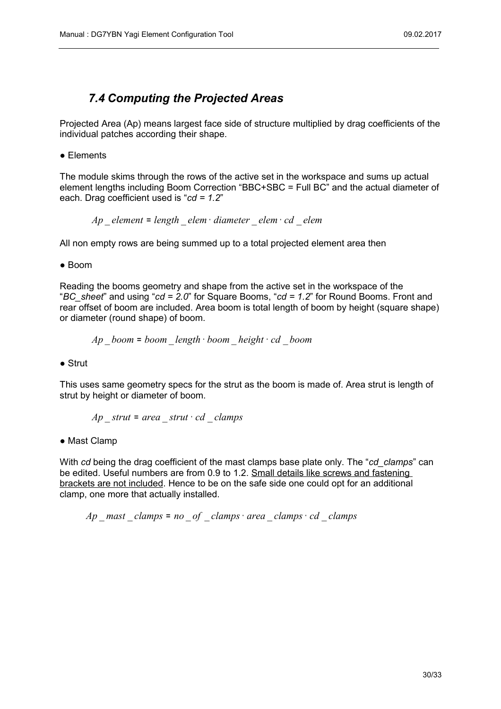## <span id="page-29-0"></span>*7.4 Computing the Projected Areas*

Projected Area (Ap) means largest face side of structure multiplied by drag coefficients of the individual patches according their shape.

● Elements

The module skims through the rows of the active set in the workspace and sums up actual element lengths including Boom Correction "BBC+SBC = Full BC" and the actual diameter of each. Drag coefficient used is "*cd = 1.2*"

*Ap* \_ *element* <sup>=</sup> *length* \_ *elem* <sup>⋅</sup> *diameter* \_ *elem* <sup>⋅</sup> *cd* \_ *elem*

All non empty rows are being summed up to a total projected element area then

● Boom

Reading the booms geometry and shape from the active set in the workspace of the "*BC\_sheet*" and using "*cd = 2.0*" for Square Booms, "*cd = 1.2*" for Round Booms. Front and rear offset of boom are included. Area boom is total length of boom by height (square shape) or diameter (round shape) of boom.

$$
Ap\_boom = boom\_length \cdot boom\_height \cdot cd\_boom
$$

● Strut

This uses same geometry specs for the strut as the boom is made of. Area strut is length of strut by height or diameter of boom.

$$
Ap\_strut = area\_strut \cdot cd\_clamps
$$

● Mast Clamp

With *cd* being the drag coefficient of the mast clamps base plate only. The "*cd\_clamps*" can be edited. Useful numbers are from 0.9 to 1.2. Small details like screws and fastening brackets are not included. Hence to be on the safe side one could opt for an additional clamp, one more that actually installed.

*Ap* \_ *mast* \_ *clamps* <sup>=</sup> *no* \_ *of* \_ *clamps* <sup>⋅</sup> *area* \_ *clamps* <sup>⋅</sup> *cd* \_ *clamps*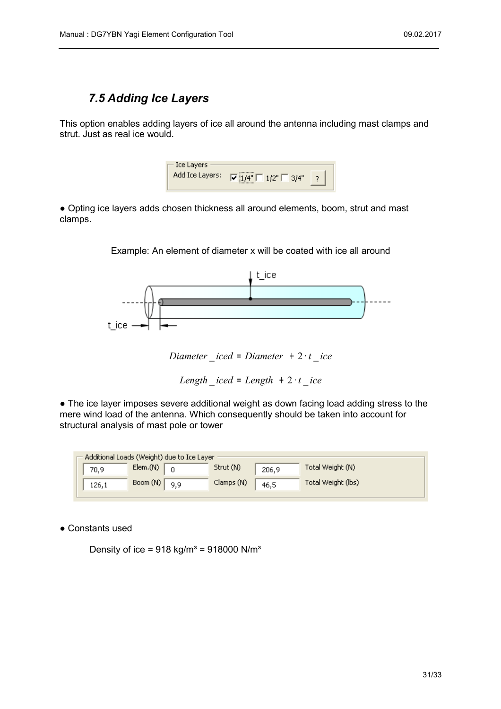#### <span id="page-30-0"></span>*7.5 Adding Ice Layers*

This option enables adding layers of ice all around the antenna including mast clamps and strut. Just as real ice would.

| Ice Layers      |                                               |  |
|-----------------|-----------------------------------------------|--|
| Add Ice Layers: | $\nabla 114"$<br>$\top$ 1/2" $\Gamma$<br>3/4" |  |

● Opting ice layers adds chosen thickness all around elements, boom, strut and mast clamps.



Example: An element of diameter x will be coated with ice all around

*Diameter* \_ *iced* <sup>=</sup> *Diameter* <sup>+</sup> 2 <sup>⋅</sup> *t* \_ *ice*

*Length*  $\text{iced} = \text{Length} + 2 \cdot t$  *ice* 

● The ice layer imposes severe additional weight as down facing load adding stress to the mere wind load of the antenna. Which consequently should be taken into account for structural analysis of mast pole or tower

| Additional Loads (Weight) due to Ice Layer |                              |            |       |                    |  |
|--------------------------------------------|------------------------------|------------|-------|--------------------|--|
| 70,9                                       | Elem.(N)<br>- 0.             | Strut (N)  | 206,9 | Total Weight (N)   |  |
| 126,1                                      | Boom $(N)$ $\lceil$<br>- 9,9 | Clamps (N) | 46,5  | Total Weight (lbs) |  |

● Constants used

Density of ice =  $918 \text{ kg/m}^3$  =  $918000 \text{ N/m}^3$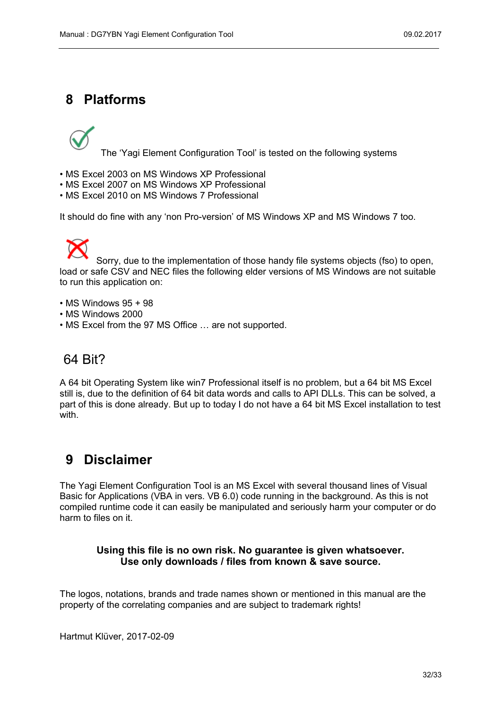# <span id="page-31-1"></span>**8 Platforms**



The 'Yagi Element Configuration Tool' is tested on the following systems

- MS Excel 2003 on MS Windows XP Professional
- MS Excel 2007 on MS Windows XP Professional
- MS Excel 2010 on MS Windows 7 Professional

It should do fine with any 'non Pro-version' of MS Windows XP and MS Windows 7 too.

Sorry, due to the implementation of those handy file systems objects (fso) to open, load or safe CSV and NEC files the following elder versions of MS Windows are not suitable to run this application on:

- MS Windows 95 + 98
- MS Windows 2000
- MS Excel from the 97 MS Office … are not supported.

# 64 Bit?

A 64 bit Operating System like win7 Professional itself is no problem, but a 64 bit MS Excel still is, due to the definition of 64 bit data words and calls to API DLLs. This can be solved, a part of this is done already. But up to today I do not have a 64 bit MS Excel installation to test with.

# <span id="page-31-0"></span>**9 Disclaimer**

The Yagi Element Configuration Tool is an MS Excel with several thousand lines of Visual Basic for Applications (VBA in vers. VB 6.0) code running in the background. As this is not compiled runtime code it can easily be manipulated and seriously harm your computer or do harm to files on it.

#### **Using this file is no own risk. No guarantee is given whatsoever. Use only downloads / files from known & save source.**

The logos, notations, brands and trade names shown or mentioned in this manual are the property of the correlating companies and are subject to trademark rights!

Hartmut Klüver, 2017-02-09